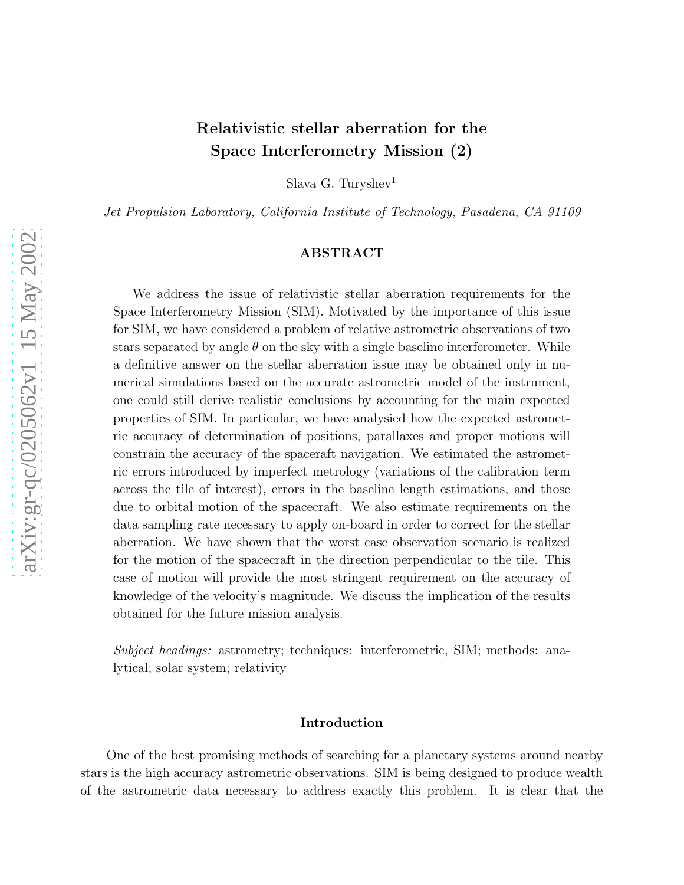# Relativistic stellar aberration for the Space Interferometry Mission (2)

Slava G. Turyshev<sup>1</sup>

*Jet Propulsion Laboratory, California Institute of Technology, Pasadena, CA 91109*

#### ABSTRACT

We address the issue of relativistic stellar aberration requirements for the Space Interferometry Mission (SIM). Motivated by the importance of this issue for SIM, we have considered a problem of relative astrometric observations of two stars separated by angle  $\theta$  on the sky with a single baseline interferometer. While a definitive answer on the stellar aberration issue may be obtained only in numerical simulations based on the accurate astrometric model of the instrument, one could still derive realistic conclusions by accounting for the main expected properties of SIM. In particular, we have analysied how the expected astrometric accuracy of determination of positions, parallaxes and proper motions will constrain the accuracy of the spaceraft navigation. We estimated the astrometric errors introduced by imperfect metrology (variations of the calibration term across the tile of interest), errors in the baseline length estimations, and those due to orbital motion of the spacecraft. We also estimate requirements on the data sampling rate necessary to apply on-board in order to correct for the stellar aberration. We have shown that the worst case observation scenario is realized for the motion of the spacecraft in the direction perpendicular to the tile. This case of motion will provide the most stringent requirement on the accuracy of knowledge of the velocity's magnitude. We discuss the implication of the results obtained for the future mission analysis.

*Subject headings:* astrometry; techniques: interferometric, SIM; methods: analytical; solar system; relativity

#### Introduction

One of the best promising methods of searching for a planetary systems around nearby stars is the high accuracy astrometric observations. SIM is being designed to produce wealth of the astrometric data necessary to address exactly this problem. It is clear that the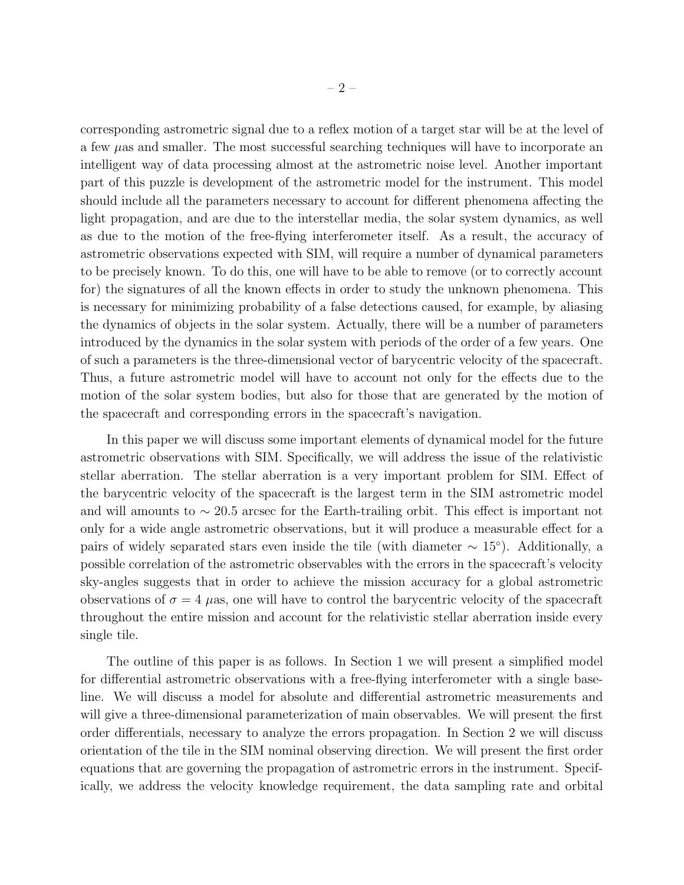corresponding astrometric signal due to a reflex motion of a target star will be at the level of a few  $\mu$ as and smaller. The most successful searching techniques will have to incorporate an intelligent way of data processing almost at the astrometric noise level. Another important part of this puzzle is development of the astrometric model for the instrument. This model should include all the parameters necessary to account for different phenomena affecting the light propagation, and are due to the interstellar media, the solar system dynamics, as well as due to the motion of the free-flying interferometer itself. As a result, the accuracy of astrometric observations expected with SIM, will require a number of dynamical parameters to be precisely known. To do this, one will have to be able to remove (or to correctly account for) the signatures of all the known effects in order to study the unknown phenomena. This is necessary for minimizing probability of a false detections caused, for example, by aliasing the dynamics of objects in the solar system. Actually, there will be a number of parameters introduced by the dynamics in the solar system with periods of the order of a few years. One of such a parameters is the three-dimensional vector of barycentric velocity of the spacecraft. Thus, a future astrometric model will have to account not only for the effects due to the motion of the solar system bodies, but also for those that are generated by the motion of the spacecraft and corresponding errors in the spacecraft's navigation.

In this paper we will discuss some important elements of dynamical model for the future astrometric observations with SIM. Specifically, we will address the issue of the relativistic stellar aberration. The stellar aberration is a very important problem for SIM. Effect of the barycentric velocity of the spacecraft is the largest term in the SIM astrometric model and will amounts to  $\sim$  20.5 arcsec for the Earth-trailing orbit. This effect is important not only for a wide angle astrometric observations, but it will produce a measurable effect for a pairs of widely separated stars even inside the tile (with diameter  $\sim 15^{\circ}$ ). Additionally, a possible correlation of the astrometric observables with the errors in the spacecraft's velocity sky-angles suggests that in order to achieve the mission accuracy for a global astrometric observations of  $\sigma = 4$  µas, one will have to control the barycentric velocity of the spacecraft throughout the entire mission and account for the relativistic stellar aberration inside every single tile.

The outline of this paper is as follows. In Section 1 we will present a simplified model for differential astrometric observations with a free-flying interferometer with a single baseline. We will discuss a model for absolute and differential astrometric measurements and will give a three-dimensional parameterization of main observables. We will present the first order differentials, necessary to analyze the errors propagation. In Section 2 we will discuss orientation of the tile in the SIM nominal observing direction. We will present the first order equations that are governing the propagation of astrometric errors in the instrument. Specifically, we address the velocity knowledge requirement, the data sampling rate and orbital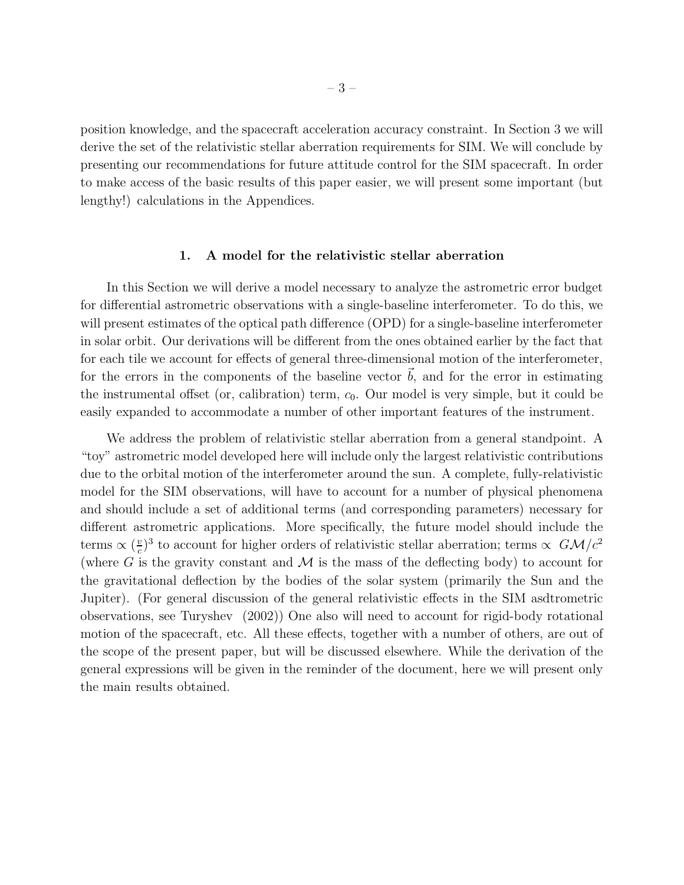position knowledge, and the spacecraft acceleration accuracy constraint. In Section 3 we will derive the set of the relativistic stellar aberration requirements for SIM. We will conclude by presenting our recommendations for future attitude control for the SIM spacecraft. In order to make access of the basic results of this paper easier, we will present some important (but lengthy!) calculations in the Appendices.

#### 1. A model for the relativistic stellar aberration

In this Section we will derive a model necessary to analyze the astrometric error budget for differential astrometric observations with a single-baseline interferometer. To do this, we will present estimates of the optical path difference (OPD) for a single-baseline interferometer in solar orbit. Our derivations will be different from the ones obtained earlier by the fact that for each tile we account for effects of general three-dimensional motion of the interferometer, for the errors in the components of the baseline vector  $\vec{b}$ , and for the error in estimating the instrumental offset (or, calibration) term,  $c_0$ . Our model is very simple, but it could be easily expanded to accommodate a number of other important features of the instrument.

We address the problem of relativistic stellar aberration from a general standpoint. A "toy" astrometric model developed here will include only the largest relativistic contributions due to the orbital motion of the interferometer around the sun. A complete, fully-relativistic model for the SIM observations, will have to account for a number of physical phenomena and should include a set of additional terms (and corresponding parameters) necessary for different astrometric applications. More specifically, the future model should include the terms  $\propto (\frac{v}{c})$  $\frac{v}{c}$ <sup>3</sup> to account for higher orders of relativistic stellar aberration; terms  $\propto$   $GM/c^2$ (where G is the gravity constant and  $\mathcal M$  is the mass of the deflecting body) to account for the gravitational deflection by the bodies of the solar system (primarily the Sun and the Jupiter). (For general discussion of the general relativistic effects in the SIM asdtrometric observations, see Turyshev (2002)) One also will need to account for rigid-body rotational motion of the spacecraft, etc. All these effects, together with a number of others, are out of the scope of the present paper, but will be discussed elsewhere. While the derivation of the general expressions will be given in the reminder of the document, here we will present only the main results obtained.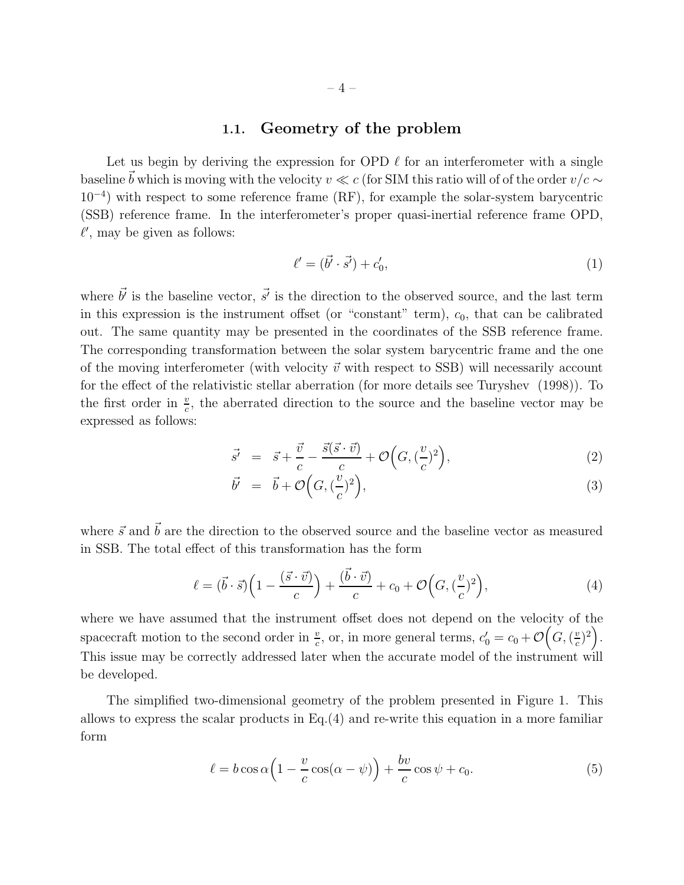### 1.1. Geometry of the problem

Let us begin by deriving the expression for OPD  $\ell$  for an interferometer with a single baseline  $\vec{b}$  which is moving with the velocity  $v \ll c$  (for SIM this ratio will of of the order  $v/c \sim$ 10<sup>−</sup><sup>4</sup> ) with respect to some reference frame (RF), for example the solar-system barycentric (SSB) reference frame. In the interferometer's proper quasi-inertial reference frame OPD,  $\ell'$ , may be given as follows:

$$
\ell' = (\vec{b'} \cdot \vec{s'}) + c'_0,\tag{1}
$$

where  $\vec{b'}$  is the baseline vector,  $\vec{s'}$  is the direction to the observed source, and the last term in this expression is the instrument offset (or "constant" term),  $c_0$ , that can be calibrated out. The same quantity may be presented in the coordinates of the SSB reference frame. The corresponding transformation between the solar system barycentric frame and the one of the moving interferometer (with velocity  $\vec{v}$  with respect to SSB) will necessarily account for the effect of the relativistic stellar aberration (for more details see Turyshev (1998)). To the first order in  $\frac{v}{c}$ , the aberrated direction to the source and the baseline vector may be expressed as follows:

$$
\vec{s'} = \vec{s} + \frac{\vec{v}}{c} - \frac{\vec{s}(\vec{s} \cdot \vec{v})}{c} + \mathcal{O}\Big(G, (\frac{v}{c})^2\Big),\tag{2}
$$

$$
\vec{b'} = \vec{b} + \mathcal{O}\left(G, \left(\frac{v}{c}\right)^2\right),\tag{3}
$$

where  $\vec{s}$  and  $\vec{b}$  are the direction to the observed source and the baseline vector as measured in SSB. The total effect of this transformation has the form

$$
\ell = (\vec{b} \cdot \vec{s}) \left( 1 - \frac{(\vec{s} \cdot \vec{v})}{c} \right) + \frac{(\vec{b} \cdot \vec{v})}{c} + c_0 + \mathcal{O}\left(G, (\frac{v}{c})^2\right),\tag{4}
$$

where we have assumed that the instrument offset does not depend on the velocity of the spacecraft motion to the second order in  $\frac{v}{c}$ , or, in more general terms,  $c'_0 = c_0 + \mathcal{O}\Big(G, (\frac{v}{c})\Big)$  $(\frac{v}{c})^2$ . This issue may be correctly addressed later when the accurate model of the instrument will be developed.

The simplified two-dimensional geometry of the problem presented in Figure 1. This allows to express the scalar products in Eq.(4) and re-write this equation in a more familiar form

$$
\ell = b \cos \alpha \left( 1 - \frac{v}{c} \cos(\alpha - \psi) \right) + \frac{bv}{c} \cos \psi + c_0.
$$
 (5)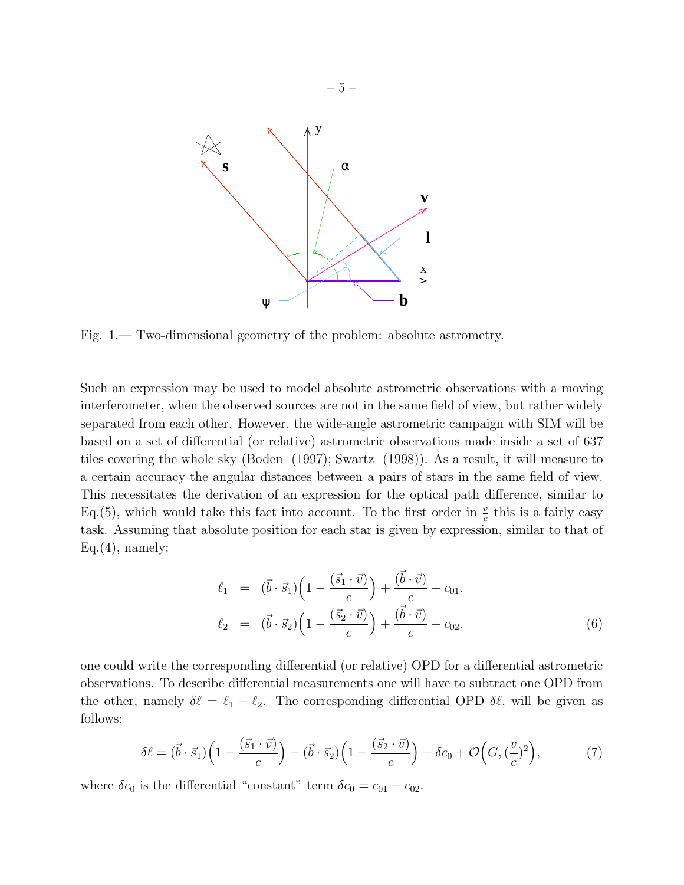

Fig. 1.— Two-dimensional geometry of the problem: absolute astrometry.

Such an expression may be used to model absolute astrometric observations with a moving interferometer, when the observed sources are not in the same field of view, but rather widely separated from each other. However, the wide-angle astrometric campaign with SIM will be based on a set of differential (or relative) astrometric observations made inside a set of 637 tiles covering the whole sky (Boden (1997); Swartz (1998)). As a result, it will measure to a certain accuracy the angular distances between a pairs of stars in the same field of view. This necessitates the derivation of an expression for the optical path difference, similar to Eq.(5), which would take this fact into account. To the first order in  $\frac{v}{c}$  this is a fairly easy task. Assuming that absolute position for each star is given by expression, similar to that of  $Eq.(4)$ , namely:

$$
\ell_1 = (\vec{b} \cdot \vec{s}_1) \left( 1 - \frac{(\vec{s}_1 \cdot \vec{v})}{c} \right) + \frac{(\vec{b} \cdot \vec{v})}{c} + c_{01},
$$
\n
$$
\ell_2 = (\vec{b} \cdot \vec{s}_2) \left( 1 - \frac{(\vec{s}_2 \cdot \vec{v})}{c} \right) + \frac{(\vec{b} \cdot \vec{v})}{c} + c_{02},
$$
\n(6)

one could write the corresponding differential (or relative) OPD for a differential astrometric observations. To describe differential measurements one will have to subtract one OPD from the other, namely  $\delta \ell = \ell_1 - \ell_2$ . The corresponding differential OPD  $\delta \ell$ , will be given as follows:

$$
\delta\ell = (\vec{b}\cdot\vec{s}_1)\left(1 - \frac{(\vec{s}_1\cdot\vec{v})}{c}\right) - (\vec{b}\cdot\vec{s}_2)\left(1 - \frac{(\vec{s}_2\cdot\vec{v})}{c}\right) + \delta c_0 + \mathcal{O}\left(G, (\frac{v}{c})^2\right),\tag{7}
$$

where  $\delta c_0$  is the differential "constant" term  $\delta c_0 = c_{01} - c_{02}$ .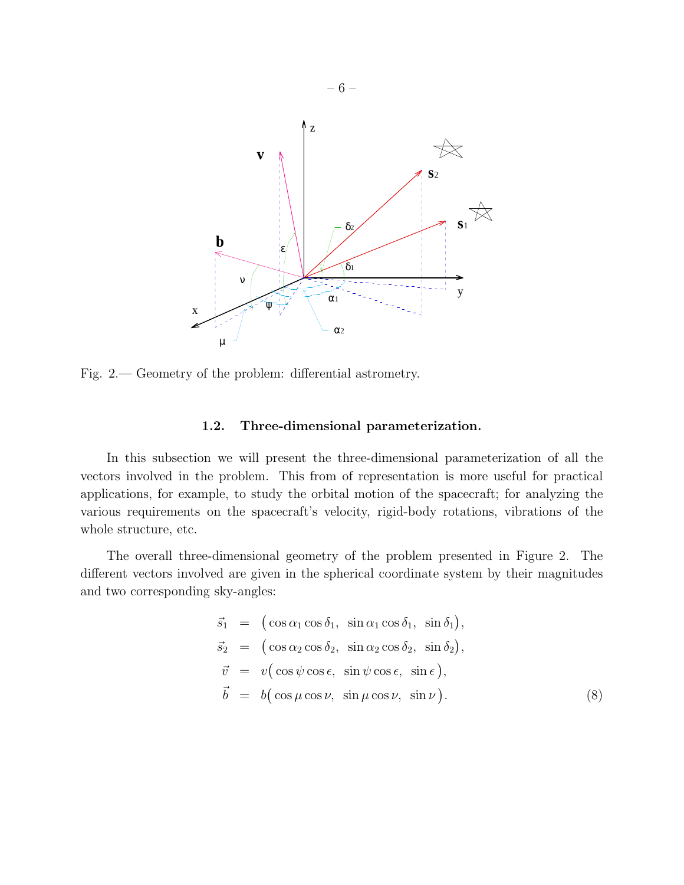

Fig. 2.— Geometry of the problem: differential astrometry.

### 1.2. Three-dimensional parameterization.

In this subsection we will present the three-dimensional parameterization of all the vectors involved in the problem. This from of representation is more useful for practical applications, for example, to study the orbital motion of the spacecraft; for analyzing the various requirements on the spacecraft's velocity, rigid-body rotations, vibrations of the whole structure, etc.

The overall three-dimensional geometry of the problem presented in Figure 2. The different vectors involved are given in the spherical coordinate system by their magnitudes and two corresponding sky-angles:

$$
\vec{s}_1 = (\cos \alpha_1 \cos \delta_1, \sin \alpha_1 \cos \delta_1, \sin \delta_1), \n\vec{s}_2 = (\cos \alpha_2 \cos \delta_2, \sin \alpha_2 \cos \delta_2, \sin \delta_2), \n\vec{v} = v(\cos \psi \cos \epsilon, \sin \psi \cos \epsilon, \sin \epsilon), \n\vec{b} = b(\cos \mu \cos \nu, \sin \mu \cos \nu, \sin \nu).
$$
\n(8)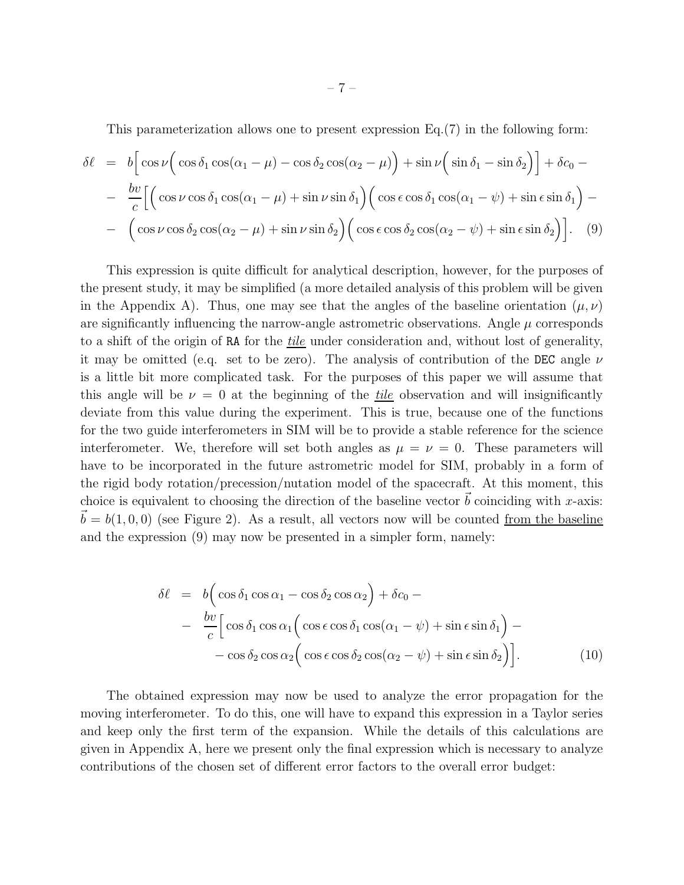This parameterization allows one to present expression Eq.(7) in the following form:

$$
\delta \ell = b \Big[ \cos \nu \Big( \cos \delta_1 \cos(\alpha_1 - \mu) - \cos \delta_2 \cos(\alpha_2 - \mu) \Big) + \sin \nu \Big( \sin \delta_1 - \sin \delta_2 \Big) \Big] + \delta c_0 -
$$
  

$$
- \frac{bv}{c} \Big[ \Big( \cos \nu \cos \delta_1 \cos(\alpha_1 - \mu) + \sin \nu \sin \delta_1 \Big) \Big( \cos \epsilon \cos \delta_1 \cos(\alpha_1 - \psi) + \sin \epsilon \sin \delta_1 \Big) -
$$
  

$$
- \Big( \cos \nu \cos \delta_2 \cos(\alpha_2 - \mu) + \sin \nu \sin \delta_2 \Big) \Big( \cos \epsilon \cos \delta_2 \cos(\alpha_2 - \psi) + \sin \epsilon \sin \delta_2 \Big) \Big]. \tag{9}
$$

This expression is quite difficult for analytical description, however, for the purposes of the present study, it may be simplified (a more detailed analysis of this problem will be given in the Appendix A). Thus, one may see that the angles of the baseline orientation  $(\mu, \nu)$ are significantly influencing the narrow-angle astrometric observations. Angle  $\mu$  corresponds to a shift of the origin of RA for the *tile* under consideration and, without lost of generality, it may be omitted (e.g. set to be zero). The analysis of contribution of the DEC angle  $\nu$ is a little bit more complicated task. For the purposes of this paper we will assume that this angle will be  $\nu = 0$  at the beginning of the *tile* observation and will insignificantly deviate from this value during the experiment. This is true, because one of the functions for the two guide interferometers in SIM will be to provide a stable reference for the science interferometer. We, therefore will set both angles as  $\mu = \nu = 0$ . These parameters will have to be incorporated in the future astrometric model for SIM, probably in a form of the rigid body rotation/precession/nutation model of the spacecraft. At this moment, this choice is equivalent to choosing the direction of the baseline vector  $\vec{b}$  coinciding with x-axis:  $\vec{b} = b(1, 0, 0)$  (see Figure 2). As a result, all vectors now will be counted from the baseline and the expression (9) may now be presented in a simpler form, namely:

$$
\delta \ell = b \Big( \cos \delta_1 \cos \alpha_1 - \cos \delta_2 \cos \alpha_2 \Big) + \delta c_0 - \n- \frac{bv}{c} \Big[ \cos \delta_1 \cos \alpha_1 \Big( \cos \epsilon \cos \delta_1 \cos(\alpha_1 - \psi) + \sin \epsilon \sin \delta_1 \Big) - \n- \cos \delta_2 \cos \alpha_2 \Big( \cos \epsilon \cos \delta_2 \cos(\alpha_2 - \psi) + \sin \epsilon \sin \delta_2 \Big) \Big].
$$
\n(10)

The obtained expression may now be used to analyze the error propagation for the moving interferometer. To do this, one will have to expand this expression in a Taylor series and keep only the first term of the expansion. While the details of this calculations are given in Appendix A, here we present only the final expression which is necessary to analyze contributions of the chosen set of different error factors to the overall error budget: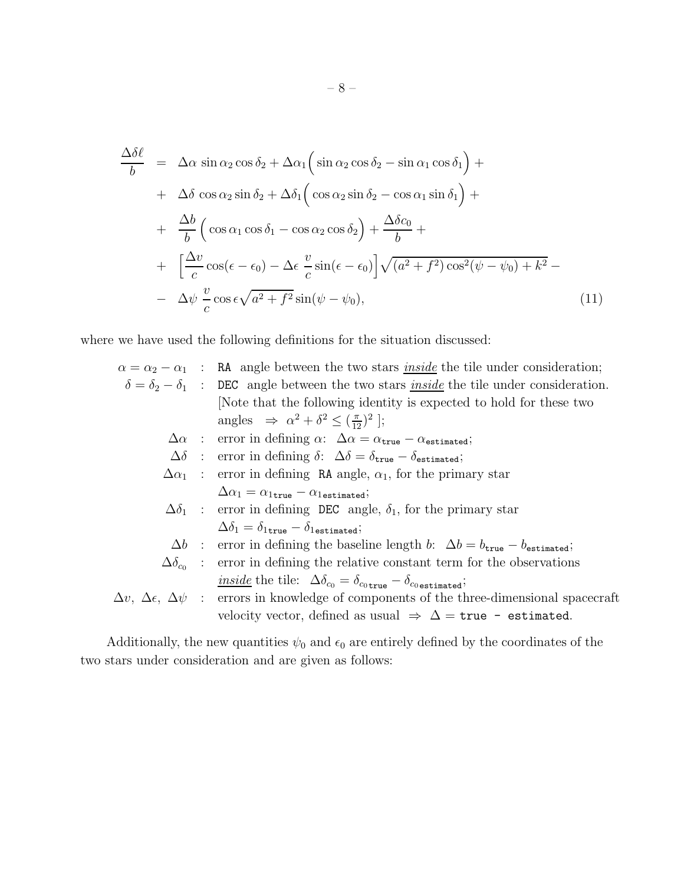$$
\frac{\Delta \delta \ell}{b} = \Delta \alpha \sin \alpha_2 \cos \delta_2 + \Delta \alpha_1 \left( \sin \alpha_2 \cos \delta_2 - \sin \alpha_1 \cos \delta_1 \right) + \n+ \Delta \delta \cos \alpha_2 \sin \delta_2 + \Delta \delta_1 \left( \cos \alpha_2 \sin \delta_2 - \cos \alpha_1 \sin \delta_1 \right) + \n+ \frac{\Delta b}{b} \left( \cos \alpha_1 \cos \delta_1 - \cos \alpha_2 \cos \delta_2 \right) + \frac{\Delta \delta c_0}{b} + \n+ \left[ \frac{\Delta v}{c} \cos(\epsilon - \epsilon_0) - \Delta \epsilon \frac{v}{c} \sin(\epsilon - \epsilon_0) \right] \sqrt{(a^2 + f^2) \cos^2(\psi - \psi_0) + k^2} - \n- \Delta \psi \frac{v}{c} \cos \epsilon \sqrt{a^2 + f^2} \sin(\psi - \psi_0), \tag{11}
$$

where we have used the following definitions for the situation discussed:

|  | $\alpha = \alpha_2 - \alpha_1$ : RA angle between the two stars <i>inside</i> the tile under consideration;          |
|--|----------------------------------------------------------------------------------------------------------------------|
|  | $\delta = \delta_2 - \delta_1$ : DEC angle between the two stars <u>inside</u> the tile under consideration.         |
|  | Note that the following identity is expected to hold for these two                                                   |
|  | angles $\Rightarrow \alpha^2 + \delta^2 \leq (\frac{\pi}{12})^2$ ;                                                   |
|  | $\Delta \alpha$ : error in defining $\alpha$ : $\Delta \alpha = \alpha_{\text{true}} - \alpha_{\text{estimated}}$ ;  |
|  | $\Delta\delta$ : error in defining $\delta$ : $\Delta\delta = \delta_{\text{true}} - \delta_{\text{estimated}}$ ;    |
|  | $\Delta \alpha_1$ : error in defining RA angle, $\alpha_1$ , for the primary star                                    |
|  | $\Delta \alpha_1 = \alpha_{1 \text{true}} - \alpha_{1 \text{estimated}};$                                            |
|  | $\Delta \delta_1$ : error in defining DEC angle, $\delta_1$ , for the primary star                                   |
|  | $\Delta \delta_1 = \delta_{1 \text{true}} - \delta_{1 \text{estimated}};$                                            |
|  | $\Delta b$ : error in defining the baseline length b: $\Delta b = b_{\text{true}} - b_{\text{estimated}}$ ;          |
|  | $\Delta\delta_{c_0}$ : error in defining the relative constant term for the observations                             |
|  | <u>inside</u> the tile: $\Delta \delta_{c_0} = \delta_{c_0 \text{true}} - \delta_{c_0 \text{estimated}};$            |
|  | $\Delta v, \ \Delta \epsilon, \ \Delta \psi$ : errors in knowledge of components of the three-dimensional spacecraft |
|  | velocity vector, defined as usual $\Rightarrow \Delta = \text{true}$ - estimated.                                    |
|  |                                                                                                                      |

Additionally, the new quantities  $\psi_0$  and  $\epsilon_0$  are entirely defined by the coordinates of the two stars under consideration and are given as follows: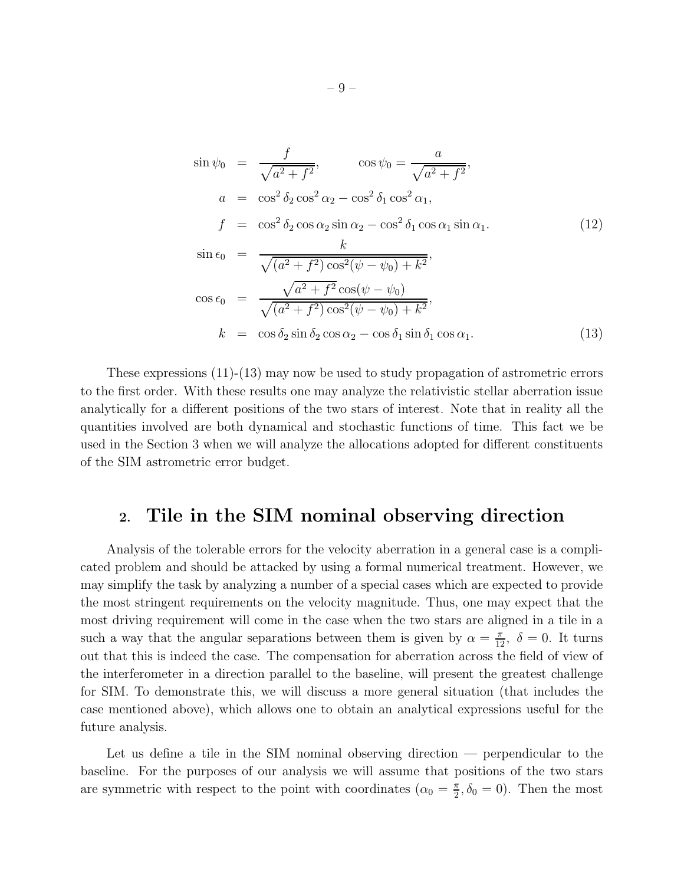$$
\sin \psi_0 = \frac{f}{\sqrt{a^2 + f^2}}, \qquad \cos \psi_0 = \frac{a}{\sqrt{a^2 + f^2}}, \na = \cos^2 \delta_2 \cos^2 \alpha_2 - \cos^2 \delta_1 \cos^2 \alpha_1, \nf = \cos^2 \delta_2 \cos \alpha_2 \sin \alpha_2 - \cos^2 \delta_1 \cos \alpha_1 \sin \alpha_1. \n\sin \epsilon_0 = \frac{k}{\sqrt{(a^2 + f^2) \cos^2(\psi - \psi_0) + k^2}}, \n\cos \epsilon_0 = \frac{\sqrt{a^2 + f^2 \cos(\psi - \psi_0)}}{\sqrt{(a^2 + f^2) \cos^2(\psi - \psi_0) + k^2}}, \nk = \cos \delta_2 \sin \delta_2 \cos \alpha_2 - \cos \delta_1 \sin \delta_1 \cos \alpha_1. \n(13)
$$

These expressions (11)-(13) may now be used to study propagation of astrometric errors to the first order. With these results one may analyze the relativistic stellar aberration issue analytically for a different positions of the two stars of interest. Note that in reality all the quantities involved are both dynamical and stochastic functions of time. This fact we be used in the Section 3 when we will analyze the allocations adopted for different constituents of the SIM astrometric error budget.

## 2. Tile in the SIM nominal observing direction

Analysis of the tolerable errors for the velocity aberration in a general case is a complicated problem and should be attacked by using a formal numerical treatment. However, we may simplify the task by analyzing a number of a special cases which are expected to provide the most stringent requirements on the velocity magnitude. Thus, one may expect that the most driving requirement will come in the case when the two stars are aligned in a tile in a such a way that the angular separations between them is given by  $\alpha = \frac{\pi}{12}$ ,  $\delta = 0$ . It turns out that this is indeed the case. The compensation for aberration across the field of view of the interferometer in a direction parallel to the baseline, will present the greatest challenge for SIM. To demonstrate this, we will discuss a more general situation (that includes the case mentioned above), which allows one to obtain an analytical expressions useful for the future analysis.

Let us define a tile in the SIM nominal observing direction — perpendicular to the baseline. For the purposes of our analysis we will assume that positions of the two stars are symmetric with respect to the point with coordinates  $(\alpha_0 = \frac{\pi}{2})$  $(\frac{\pi}{2}, \delta_0 = 0)$ . Then the most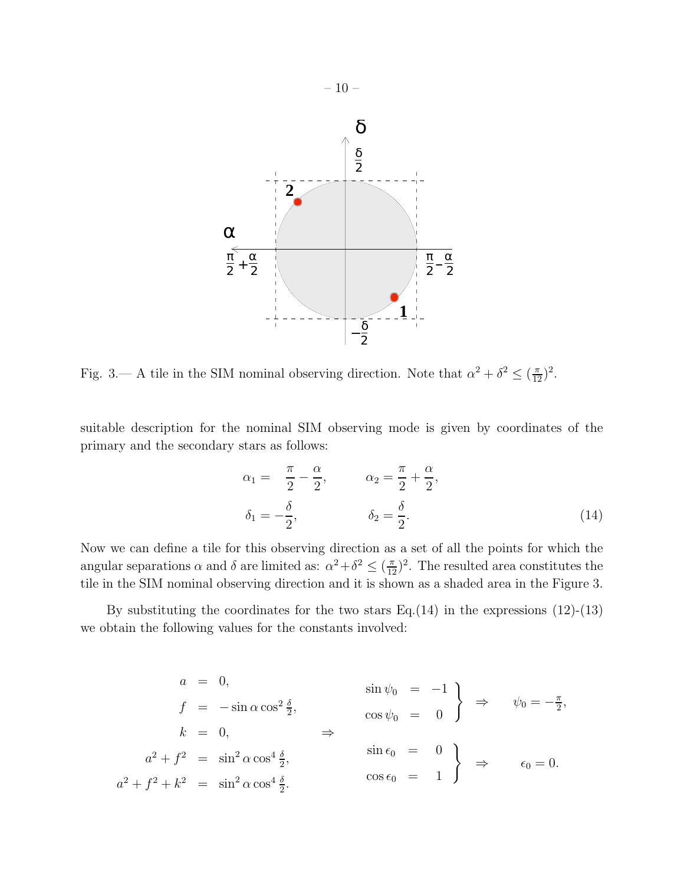

Fig. 3.— A tile in the SIM nominal observing direction. Note that  $\alpha^2 + \delta^2 \leq (\frac{\pi}{12})^2$ .

suitable description for the nominal SIM observing mode is given by coordinates of the primary and the secondary stars as follows:

$$
\alpha_1 = \frac{\pi}{2} - \frac{\alpha}{2}, \qquad \alpha_2 = \frac{\pi}{2} + \frac{\alpha}{2},
$$
  

$$
\delta_1 = -\frac{\delta}{2}, \qquad \delta_2 = \frac{\delta}{2}.
$$
 (14)

Now we can define a tile for this observing direction as a set of all the points for which the angular separations  $\alpha$  and  $\delta$  are limited as:  $\alpha^2 + \delta^2 \le (\frac{\pi}{12})^2$ . The resulted area constitutes the tile in the SIM nominal observing direction and it is shown as a shaded area in the Figure 3.

By substituting the coordinates for the two stars Eq.(14) in the expressions  $(12)-(13)$ we obtain the following values for the constants involved:

$$
a = 0,
$$
  
\n
$$
f = -\sin \alpha \cos^2 \frac{\delta}{2},
$$
  
\n
$$
k = 0,
$$
  
\n
$$
a^2 + f^2 = \sin^2 \alpha \cos^4 \frac{\delta}{2},
$$
  
\n
$$
a^2 + f^2 + k^2 = \sin^2 \alpha \cos^4 \frac{\delta}{2},
$$
  
\n
$$
a^2 + f^2 + k^2 = \sin^2 \alpha \cos^4 \frac{\delta}{2}.
$$
  
\n
$$
a^2 + f^2 + k^2 = \sin^2 \alpha \cos^4 \frac{\delta}{2}.
$$
  
\n
$$
a^2 + f^2 + k^2 = \sin^2 \alpha \cos^4 \frac{\delta}{2}.
$$
  
\n
$$
a^2 + f^2 + k^2 = \sin^2 \alpha \cos^4 \frac{\delta}{2}.
$$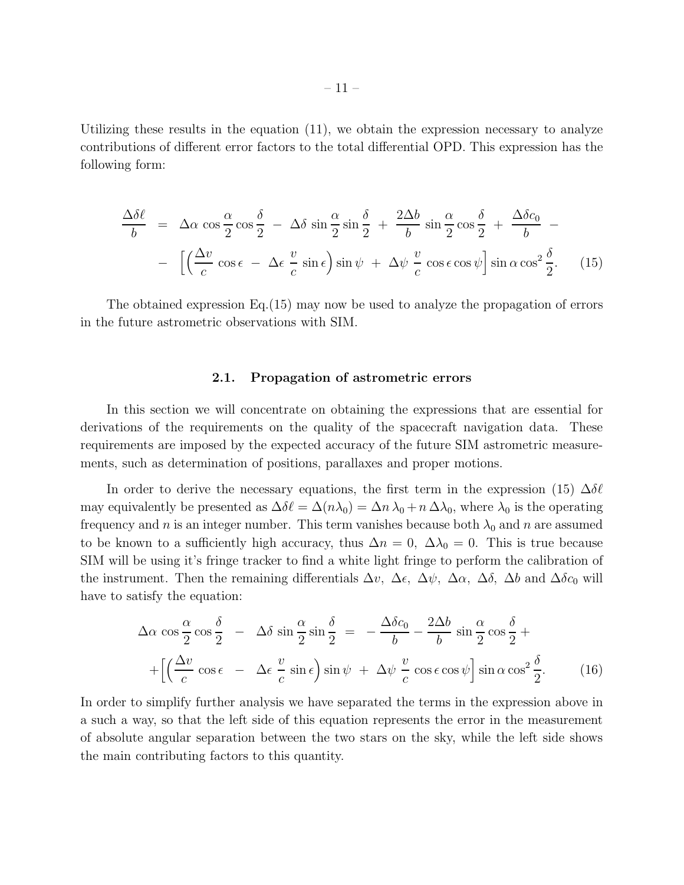Utilizing these results in the equation (11), we obtain the expression necessary to analyze contributions of different error factors to the total differential OPD. This expression has the following form:

$$
\frac{\Delta\delta\ell}{b} = \Delta\alpha\cos\frac{\alpha}{2}\cos\frac{\delta}{2} - \Delta\delta\sin\frac{\alpha}{2}\sin\frac{\delta}{2} + \frac{2\Delta b}{b}\sin\frac{\alpha}{2}\cos\frac{\delta}{2} + \frac{\Delta\delta c_0}{b} - \left[\left(\frac{\Delta v}{c}\cos\epsilon - \Delta\epsilon\frac{v}{c}\sin\epsilon\right)\sin\psi + \Delta\psi\frac{v}{c}\cos\epsilon\cos\psi\right]\sin\alpha\cos^2\frac{\delta}{2}.
$$
 (15)

The obtained expression Eq.(15) may now be used to analyze the propagation of errors in the future astrometric observations with SIM.

#### 2.1. Propagation of astrometric errors

In this section we will concentrate on obtaining the expressions that are essential for derivations of the requirements on the quality of the spacecraft navigation data. These requirements are imposed by the expected accuracy of the future SIM astrometric measurements, such as determination of positions, parallaxes and proper motions.

In order to derive the necessary equations, the first term in the expression (15)  $\Delta \delta \ell$ may equivalently be presented as  $\Delta \delta \ell = \Delta(n\lambda_0) = \Delta n \lambda_0 + n \Delta \lambda_0$ , where  $\lambda_0$  is the operating frequency and n is an integer number. This term vanishes because both  $\lambda_0$  and n are assumed to be known to a sufficiently high accuracy, thus  $\Delta n = 0$ ,  $\Delta \lambda_0 = 0$ . This is true because SIM will be using it's fringe tracker to find a white light fringe to perform the calibration of the instrument. Then the remaining differentials  $\Delta v$ ,  $\Delta \epsilon$ ,  $\Delta \psi$ ,  $\Delta \alpha$ ,  $\Delta \delta$ ,  $\Delta b$  and  $\Delta \delta c_0$  will have to satisfy the equation:

$$
\Delta \alpha \cos \frac{\alpha}{2} \cos \frac{\delta}{2} - \Delta \delta \sin \frac{\alpha}{2} \sin \frac{\delta}{2} = -\frac{\Delta \delta c_0}{b} - \frac{2\Delta b}{b} \sin \frac{\alpha}{2} \cos \frac{\delta}{2} + + \left[ \left( \frac{\Delta v}{c} \cos \epsilon - \Delta \epsilon \frac{v}{c} \sin \epsilon \right) \sin \psi + \Delta \psi \frac{v}{c} \cos \epsilon \cos \psi \right] \sin \alpha \cos^2 \frac{\delta}{2}.
$$
 (16)

In order to simplify further analysis we have separated the terms in the expression above in a such a way, so that the left side of this equation represents the error in the measurement of absolute angular separation between the two stars on the sky, while the left side shows the main contributing factors to this quantity.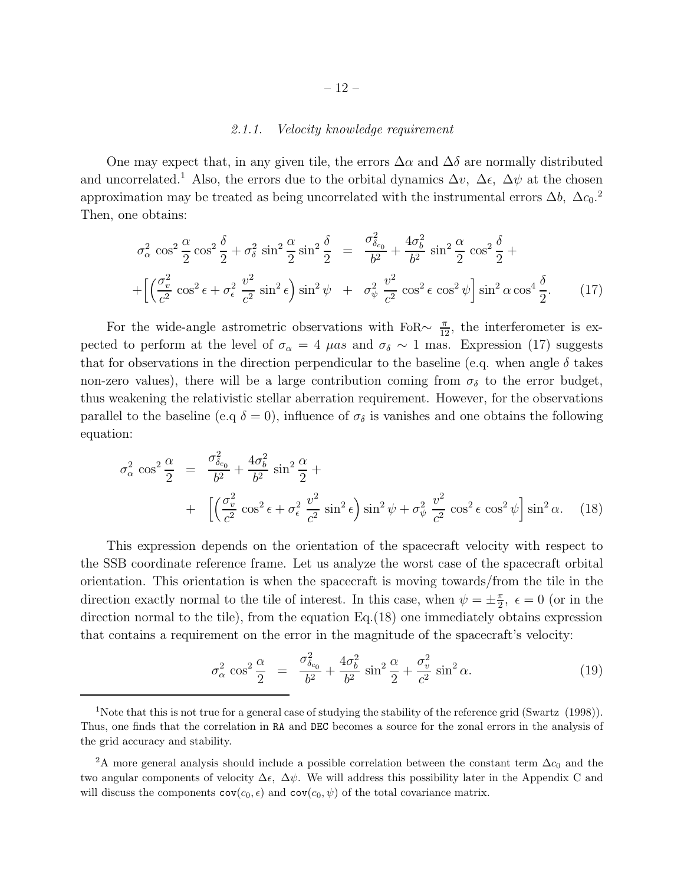#### *2.1.1. Velocity knowledge requirement*

One may expect that, in any given tile, the errors  $\Delta \alpha$  and  $\Delta \delta$  are normally distributed and uncorrelated.<sup>1</sup> Also, the errors due to the orbital dynamics  $\Delta v$ ,  $\Delta \epsilon$ ,  $\Delta \psi$  at the chosen approximation may be treated as being uncorrelated with the instrumental errors  $\Delta b$ ,  $\Delta c_0$ .<sup>2</sup> Then, one obtains:

$$
\sigma_{\alpha}^{2} \cos^{2} \frac{\alpha}{2} \cos^{2} \frac{\delta}{2} + \sigma_{\delta}^{2} \sin^{2} \frac{\alpha}{2} \sin^{2} \frac{\delta}{2} = \frac{\sigma_{\delta_{c_{0}}}^{2}}{b^{2}} + \frac{4\sigma_{b}^{2}}{b^{2}} \sin^{2} \frac{\alpha}{2} \cos^{2} \frac{\delta}{2} + \left[ \left( \frac{\sigma_{v}^{2}}{c^{2}} \cos^{2} \epsilon + \sigma_{\epsilon}^{2} \frac{v^{2}}{c^{2}} \sin^{2} \epsilon \right) \sin^{2} \psi + \sigma_{\psi}^{2} \frac{v^{2}}{c^{2}} \cos^{2} \epsilon \cos^{2} \psi \right] \sin^{2} \alpha \cos^{4} \frac{\delta}{2}.
$$
 (17)

For the wide-angle astrometric observations with FoR $\sim \frac{\pi}{12}$ , the interferometer is expected to perform at the level of  $\sigma_{\alpha} = 4 \mu as$  and  $\sigma_{\delta} \sim 1$  mas. Expression (17) suggests that for observations in the direction perpendicular to the baseline (e.g. when angle  $\delta$  takes non-zero values), there will be a large contribution coming from  $\sigma_{\delta}$  to the error budget, thus weakening the relativistic stellar aberration requirement. However, for the observations parallel to the baseline (e.q  $\delta = 0$ ), influence of  $\sigma_{\delta}$  is vanishes and one obtains the following equation:

$$
\sigma_{\alpha}^{2} \cos^{2} \frac{\alpha}{2} = \frac{\sigma_{\delta_{c_{0}}}^{2}}{b^{2}} + \frac{4\sigma_{b}^{2}}{b^{2}} \sin^{2} \frac{\alpha}{2} +
$$
  
+  $\left[ \left( \frac{\sigma_{v}^{2}}{c^{2}} \cos^{2} \epsilon + \sigma_{\epsilon}^{2} \frac{v^{2}}{c^{2}} \sin^{2} \epsilon \right) \sin^{2} \psi + \sigma_{\psi}^{2} \frac{v^{2}}{c^{2}} \cos^{2} \epsilon \cos^{2} \psi \right] \sin^{2} \alpha.$  (18)

This expression depends on the orientation of the spacecraft velocity with respect to the SSB coordinate reference frame. Let us analyze the worst case of the spacecraft orbital orientation. This orientation is when the spacecraft is moving towards/from the tile in the direction exactly normal to the tile of interest. In this case, when  $\psi = \pm \frac{\pi}{2}$  $\frac{\pi}{2}$ ,  $\epsilon = 0$  (or in the direction normal to the tile), from the equation Eq.(18) one immediately obtains expression that contains a requirement on the error in the magnitude of the spacecraft's velocity:

$$
\sigma_{\alpha}^2 \cos^2 \frac{\alpha}{2} = \frac{\sigma_{\delta_{c_0}}^2}{b^2} + \frac{4\sigma_b^2}{b^2} \sin^2 \frac{\alpha}{2} + \frac{\sigma_v^2}{c^2} \sin^2 \alpha.
$$
 (19)

<sup>&</sup>lt;sup>1</sup>Note that this is not true for a general case of studying the stability of the reference grid (Swartz (1998)). Thus, one finds that the correlation in RA and DEC becomes a source for the zonal errors in the analysis of the grid accuracy and stability.

<sup>&</sup>lt;sup>2</sup>A more general analysis should include a possible correlation between the constant term  $\Delta c_0$  and the two angular components of velocity  $\Delta \epsilon$ ,  $\Delta \psi$ . We will address this possibility later in the Appendix C and will discuss the components  $cov(c_0, \epsilon)$  and  $cov(c_0, \psi)$  of the total covariance matrix.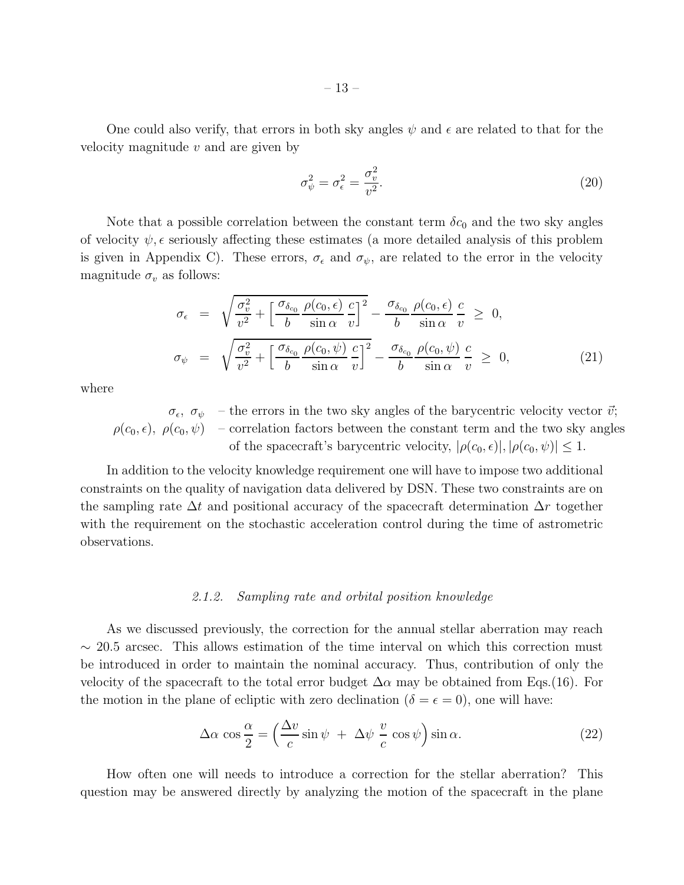One could also verify, that errors in both sky angles  $\psi$  and  $\epsilon$  are related to that for the velocity magnitude  $v$  and are given by

$$
\sigma_{\psi}^2 = \sigma_{\epsilon}^2 = \frac{\sigma_v^2}{v^2}.
$$
\n(20)

Note that a possible correlation between the constant term  $\delta c_0$  and the two sky angles of velocity  $\psi$ ,  $\epsilon$  seriously affecting these estimates (a more detailed analysis of this problem is given in Appendix C). These errors,  $\sigma_{\epsilon}$  and  $\sigma_{\psi}$ , are related to the error in the velocity magnitude  $\sigma_v$  as follows:

$$
\sigma_{\epsilon} = \sqrt{\frac{\sigma_v^2}{v^2} + \left[\frac{\sigma_{\delta_{c_0}}}{b} \frac{\rho(c_0, \epsilon)}{\sin \alpha} \frac{c}{v}\right]^2} - \frac{\sigma_{\delta_{c_0}}}{b} \frac{\rho(c_0, \epsilon)}{\sin \alpha} \frac{c}{v} \ge 0,
$$
\n
$$
\sigma_{\psi} = \sqrt{\frac{\sigma_v^2}{v^2} + \left[\frac{\sigma_{\delta_{c_0}}}{b} \frac{\rho(c_0, \psi)}{\sin \alpha} \frac{c}{v}\right]^2} - \frac{\sigma_{\delta_{c_0}}}{b} \frac{\rho(c_0, \psi)}{\sin \alpha} \frac{c}{v} \ge 0,
$$
\n(21)

where

 $\sigma_{\epsilon}, \sigma_{\psi}$  – the errors in the two sky angles of the barycentric velocity vector  $\vec{v}$ ;  $\rho(c_0, \epsilon)$ ,  $\rho(c_0, \psi)$  – correlation factors between the constant term and the two sky angles of the spacecraft's barycentric velocity,  $|\rho(c_0, \epsilon)|, |\rho(c_0, \psi)| \leq 1$ .

In addition to the velocity knowledge requirement one will have to impose two additional constraints on the quality of navigation data delivered by DSN. These two constraints are on the sampling rate  $\Delta t$  and positional accuracy of the spacecraft determination  $\Delta r$  together with the requirement on the stochastic acceleration control during the time of astrometric observations.

#### *2.1.2. Sampling rate and orbital position knowledge*

As we discussed previously, the correction for the annual stellar aberration may reach  $\sim$  20.5 arcsec. This allows estimation of the time interval on which this correction must be introduced in order to maintain the nominal accuracy. Thus, contribution of only the velocity of the spacecraft to the total error budget  $\Delta \alpha$  may be obtained from Eqs.(16). For the motion in the plane of ecliptic with zero declination ( $\delta = \epsilon = 0$ ), one will have:

$$
\Delta \alpha \cos \frac{\alpha}{2} = \left(\frac{\Delta v}{c} \sin \psi + \Delta \psi \frac{v}{c} \cos \psi\right) \sin \alpha.
$$
 (22)

How often one will needs to introduce a correction for the stellar aberration? This question may be answered directly by analyzing the motion of the spacecraft in the plane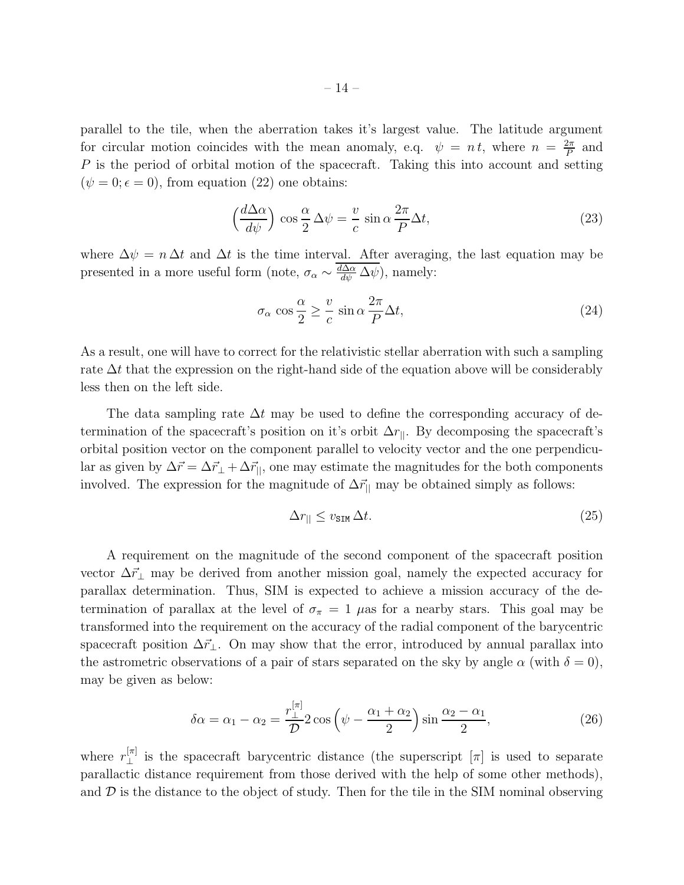parallel to the tile, when the aberration takes it's largest value. The latitude argument for circular motion coincides with the mean anomaly, e.q.  $\psi = n t$ , where  $n = \frac{2\pi}{R}$  $\frac{2\pi}{P}$  and P is the period of orbital motion of the spacecraft. Taking this into account and setting  $(\psi = 0; \epsilon = 0)$ , from equation (22) one obtains:

$$
\left(\frac{d\Delta\alpha}{d\psi}\right)\cos\frac{\alpha}{2}\Delta\psi = \frac{v}{c}\sin\alpha\frac{2\pi}{P}\Delta t,\tag{23}
$$

where  $\Delta \psi = n \Delta t$  and  $\Delta t$  is the time interval. After averaging, the last equation may be presented in a more useful form (note,  $\sigma_{\alpha} \sim \frac{d\Delta\alpha}{d\psi} \Delta \psi$ ), namely:

$$
\sigma_{\alpha} \cos \frac{\alpha}{2} \ge \frac{v}{c} \sin \alpha \frac{2\pi}{P} \Delta t, \tag{24}
$$

As a result, one will have to correct for the relativistic stellar aberration with such a sampling rate  $\Delta t$  that the expression on the right-hand side of the equation above will be considerably less then on the left side.

The data sampling rate  $\Delta t$  may be used to define the corresponding accuracy of determination of the spacecraft's position on it's orbit  $\Delta r_{\parallel}$ . By decomposing the spacecraft's orbital position vector on the component parallel to velocity vector and the one perpendicular as given by  $\Delta \vec{r} = \Delta \vec{r}_{\perp} + \Delta \vec{r}_{\parallel}$ , one may estimate the magnitudes for the both components involved. The expression for the magnitude of  $\Delta\vec{r}_{\parallel}$  may be obtained simply as follows:

$$
\Delta r_{\parallel} \le v_{\text{SIM}} \Delta t. \tag{25}
$$

A requirement on the magnitude of the second component of the spacecraft position vector  $\Delta\vec{r}_\perp$  may be derived from another mission goal, namely the expected accuracy for parallax determination. Thus, SIM is expected to achieve a mission accuracy of the determination of parallax at the level of  $\sigma_{\pi} = 1$   $\mu$ as for a nearby stars. This goal may be transformed into the requirement on the accuracy of the radial component of the barycentric spacecraft position  $\Delta \vec{r}_{\perp}$ . On may show that the error, introduced by annual parallax into the astrometric observations of a pair of stars separated on the sky by angle  $\alpha$  (with  $\delta = 0$ ), may be given as below:

$$
\delta \alpha = \alpha_1 - \alpha_2 = \frac{r_{\perp}^{[\pi]}}{\mathcal{D}} 2 \cos \left( \psi - \frac{\alpha_1 + \alpha_2}{2} \right) \sin \frac{\alpha_2 - \alpha_1}{2}, \tag{26}
$$

where  $r_{\perp}^{[\pi]}$  is the spacecraft barycentric distance (the superscript  $[\pi]$  is used to separate parallactic distance requirement from those derived with the help of some other methods), and  $\mathcal D$  is the distance to the object of study. Then for the tile in the SIM nominal observing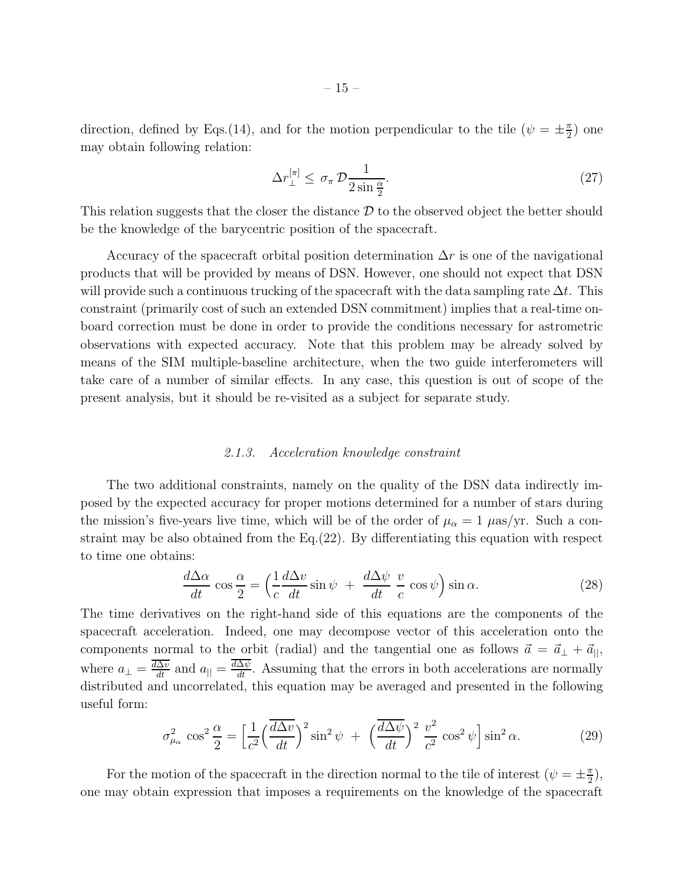direction, defined by Eqs.(14), and for the motion perpendicular to the tile  $(\psi = \pm \frac{\pi}{2})$  $\frac{\pi}{2}$ ) one may obtain following relation:

$$
\Delta r_{\perp}^{[\pi]} \leq \sigma_{\pi} \mathcal{D} \frac{1}{2 \sin \frac{\alpha}{2}}.
$$
\n(27)

This relation suggests that the closer the distance  $\mathcal D$  to the observed object the better should be the knowledge of the barycentric position of the spacecraft.

Accuracy of the spacecraft orbital position determination  $\Delta r$  is one of the navigational products that will be provided by means of DSN. However, one should not expect that DSN will provide such a continuous trucking of the spacecraft with the data sampling rate  $\Delta t$ . This constraint (primarily cost of such an extended DSN commitment) implies that a real-time onboard correction must be done in order to provide the conditions necessary for astrometric observations with expected accuracy. Note that this problem may be already solved by means of the SIM multiple-baseline architecture, when the two guide interferometers will take care of a number of similar effects. In any case, this question is out of scope of the present analysis, but it should be re-visited as a subject for separate study.

#### *2.1.3. Acceleration knowledge constraint*

The two additional constraints, namely on the quality of the DSN data indirectly imposed by the expected accuracy for proper motions determined for a number of stars during the mission's five-years live time, which will be of the order of  $\mu_{\alpha} = 1$   $\mu$ as/yr. Such a constraint may be also obtained from the  $Eq.(22)$ . By differentiating this equation with respect to time one obtains:

$$
\frac{d\Delta\alpha}{dt}\cos\frac{\alpha}{2} = \left(\frac{1}{c}\frac{d\Delta v}{dt}\sin\psi + \frac{d\Delta\psi}{dt}\frac{v}{c}\cos\psi\right)\sin\alpha.
$$
\n(28)

The time derivatives on the right-hand side of this equations are the components of the spacecraft acceleration. Indeed, one may decompose vector of this acceleration onto the components normal to the orbit (radial) and the tangential one as follows  $\vec{a} = \vec{a}_{\perp} + \vec{a}_{||}$ , where  $a_{\perp} = \frac{\overline{d\Delta v}}{dt}$  and  $a_{\parallel} = \frac{d\Delta \psi}{dt}$ . Assuming that the errors in both accelerations are normally distributed and uncorrelated, this equation may be averaged and presented in the following useful form:

$$
\sigma_{\mu_{\alpha}}^2 \cos^2 \frac{\alpha}{2} = \left[\frac{1}{c^2} \left(\frac{\overline{d\Delta v}}{dt}\right)^2 \sin^2 \psi + \left(\frac{\overline{d\Delta \psi}}{dt}\right)^2 \frac{v^2}{c^2} \cos^2 \psi\right] \sin^2 \alpha. \tag{29}
$$

For the motion of the spacecraft in the direction normal to the tile of interest  $(\psi = \pm \frac{\pi}{2})$  $\frac{\pi}{2}$ , one may obtain expression that imposes a requirements on the knowledge of the spacecraft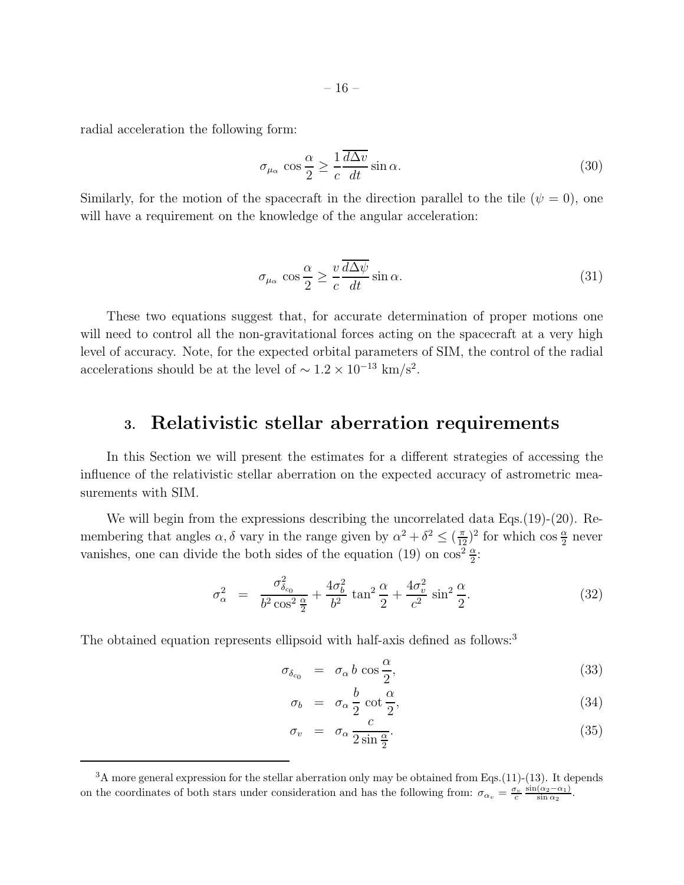radial acceleration the following form:

$$
\sigma_{\mu_{\alpha}} \cos \frac{\alpha}{2} \ge \frac{1}{c} \frac{\overline{d\Delta v}}{dt} \sin \alpha.
$$
\n(30)

Similarly, for the motion of the spacecraft in the direction parallel to the tile  $(\psi = 0)$ , one will have a requirement on the knowledge of the angular acceleration:

$$
\sigma_{\mu_{\alpha}} \cos \frac{\alpha}{2} \ge \frac{v}{c} \frac{\overline{d\Delta\psi}}{dt} \sin \alpha.
$$
\n(31)

These two equations suggest that, for accurate determination of proper motions one will need to control all the non-gravitational forces acting on the spacecraft at a very high level of accuracy. Note, for the expected orbital parameters of SIM, the control of the radial accelerations should be at the level of  $\sim 1.2 \times 10^{-13}$  km/s<sup>2</sup>.

### 3. Relativistic stellar aberration requirements

In this Section we will present the estimates for a different strategies of accessing the influence of the relativistic stellar aberration on the expected accuracy of astrometric measurements with SIM.

We will begin from the expressions describing the uncorrelated data Eqs. (19)-(20). Remembering that angles  $\alpha$ ,  $\delta$  vary in the range given by  $\alpha^2 + \delta^2 \le (\frac{\pi}{12})^2$  for which  $\cos \frac{\alpha}{2}$  never vanishes, one can divide the both sides of the equation (19) on  $\cos^2 \frac{\alpha}{2}$ :

$$
\sigma_{\alpha}^{2} = \frac{\sigma_{\delta_{c_0}}^{2}}{b^2 \cos^2 \frac{\alpha}{2}} + \frac{4\sigma_b^2}{b^2} \tan^2 \frac{\alpha}{2} + \frac{4\sigma_v^2}{c^2} \sin^2 \frac{\alpha}{2}.
$$
 (32)

The obtained equation represents ellipsoid with half-axis defined as follows:<sup>3</sup>

$$
\sigma_{\delta_{c_0}} = \sigma_\alpha b \cos \frac{\alpha}{2}, \qquad (33)
$$

$$
\sigma_b = \sigma_\alpha \frac{b}{2} \cot \frac{\alpha}{2}, \qquad (34)
$$

$$
\sigma_v = \sigma_\alpha \frac{c}{2 \sin \frac{\alpha}{2}}.
$$
\n(35)

<sup>&</sup>lt;sup>3</sup>A more general expression for the stellar aberration only may be obtained from Eqs.(11)-(13). It depends on the coordinates of both stars under consideration and has the following from:  $\sigma_{\alpha_v} = \frac{\sigma_v}{c} \frac{\sin(\alpha_2 - \alpha_1)}{\sin \alpha_2}$  $\frac{(\alpha_2-\alpha_1)}{\sin \alpha_2}$ .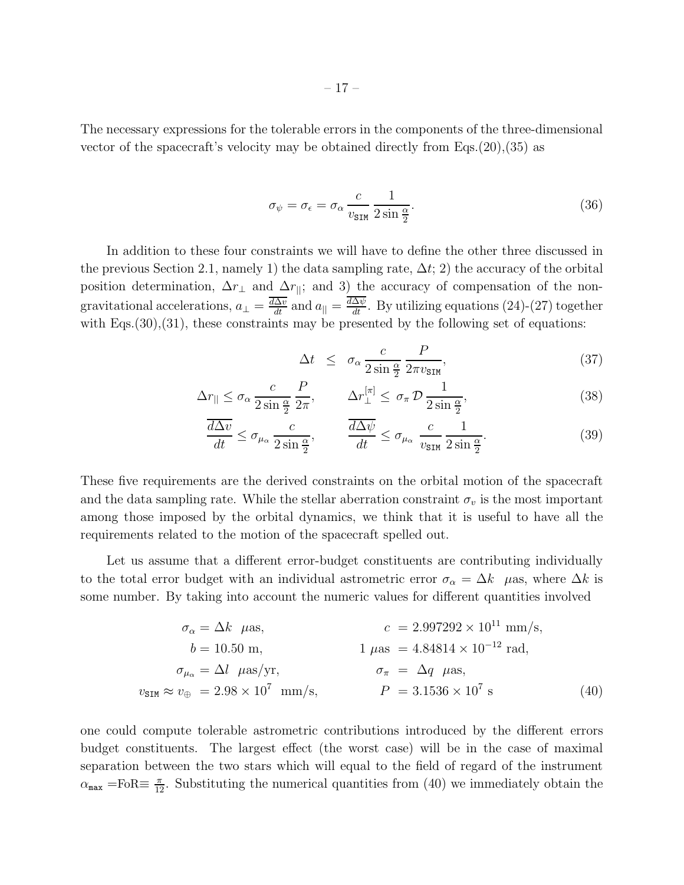The necessary expressions for the tolerable errors in the components of the three-dimensional vector of the spacecraft's velocity may be obtained directly from Eqs. $(20),(35)$  as

$$
\sigma_{\psi} = \sigma_{\epsilon} = \sigma_{\alpha} \frac{c}{v_{\text{SIM}}} \frac{1}{2 \sin \frac{\alpha}{2}}.
$$
\n(36)

In addition to these four constraints we will have to define the other three discussed in the previous Section 2.1, namely 1) the data sampling rate,  $\Delta t$ ; 2) the accuracy of the orbital position determination,  $\Delta r_{\perp}$  and  $\Delta r_{\parallel}$ ; and 3) the accuracy of compensation of the nongravitational accelerations,  $a_{\perp} = \frac{\overline{d\Delta v}}{dt}$  and  $a_{||} = \frac{d\Delta \psi}{dt}$ . By utilizing equations (24)-(27) together with  $Eqs. (30), (31)$ , these constraints may be presented by the following set of equations:

$$
\Delta t \leq \sigma_{\alpha} \frac{c}{2 \sin \frac{\alpha}{2}} \frac{P}{2\pi v_{\text{SIM}}},\tag{37}
$$

$$
\Delta r_{\parallel} \le \sigma_{\alpha} \frac{c}{2 \sin \frac{\alpha}{2}} \frac{P}{2\pi}, \qquad \Delta r_{\perp}^{[\pi]} \le \sigma_{\pi} \mathcal{D} \frac{1}{2 \sin \frac{\alpha}{2}}, \tag{38}
$$

$$
\frac{\overline{d\Delta v}}{dt} \le \sigma_{\mu_{\alpha}} \frac{c}{2\sin\frac{\alpha}{2}}, \qquad \frac{\overline{d\Delta\psi}}{dt} \le \sigma_{\mu_{\alpha}} \frac{c}{v_{\text{SIM}}} \frac{1}{2\sin\frac{\alpha}{2}}.
$$
\n(39)

These five requirements are the derived constraints on the orbital motion of the spacecraft and the data sampling rate. While the stellar aberration constraint  $\sigma_v$  is the most important among those imposed by the orbital dynamics, we think that it is useful to have all the requirements related to the motion of the spacecraft spelled out.

Let us assume that a different error-budget constituents are contributing individually to the total error budget with an individual astrometric error  $\sigma_{\alpha} = \Delta k$  µas, where  $\Delta k$  is some number. By taking into account the numeric values for different quantities involved

$$
\sigma_{\alpha} = \Delta k \quad \mu \text{as}, \qquad c = 2.997292 \times 10^{11} \text{ mm/s},
$$
\n
$$
b = 10.50 \text{ m}, \qquad 1 \quad \mu \text{as} = 4.84814 \times 10^{-12} \text{ rad},
$$
\n
$$
\sigma_{\mu_{\alpha}} = \Delta l \quad \mu \text{as/yr}, \qquad \sigma_{\pi} = \Delta q \quad \mu \text{as},
$$
\n
$$
v_{\text{SIM}} \approx v_{\oplus} = 2.98 \times 10^7 \text{ mm/s}, \qquad P = 3.1536 \times 10^7 \text{ s}
$$
\n(40)

one could compute tolerable astrometric contributions introduced by the different errors budget constituents. The largest effect (the worst case) will be in the case of maximal separation between the two stars which will equal to the field of regard of the instrument  $\alpha_{\texttt{max}}$  =FoR $\equiv \frac{\pi}{12}$ . Substituting the numerical quantities from (40) we immediately obtain the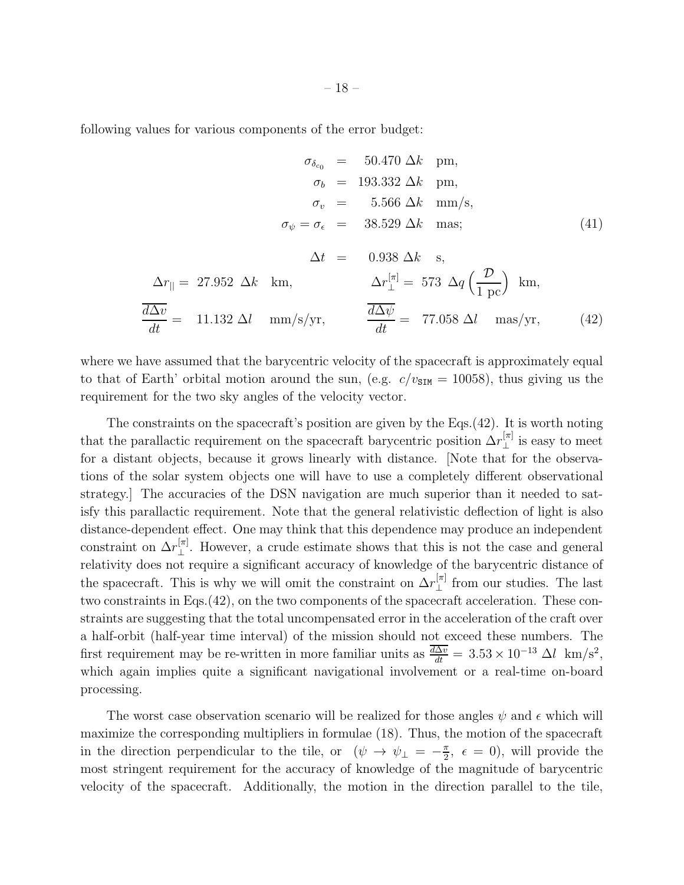following values for various components of the error budget:

$$
\sigma_{\delta_{c_0}} = 50.470 \Delta k \text{ pm},
$$
\n
$$
\sigma_b = 193.332 \Delta k \text{ pm},
$$
\n
$$
\sigma_v = 5.566 \Delta k \text{ mm/s},
$$
\n
$$
\sigma_{\psi} = \sigma_{\epsilon} = 38.529 \Delta k \text{ mas};
$$
\n
$$
\Delta t = 0.938 \Delta k \text{ s},
$$
\n
$$
\Delta r_{\parallel} = 27.952 \Delta k \text{ km},
$$
\n
$$
\sigma_{\perp}^{[\pi]} = 573 \Delta q \left(\frac{\mathcal{D}}{1 \text{ pc}}\right) \text{ km},
$$
\n
$$
\frac{\overline{d\Delta v}}{dt} = 11.132 \Delta l \text{ mm/s/yr},
$$
\n
$$
\frac{\overline{d\Delta \psi}}{dt} = 77.058 \Delta l \text{ mas/yr},
$$
\n(42)

where we have assumed that the barycentric velocity of the spacecraft is approximately equal to that of Earth' orbital motion around the sun, (e.g.  $c/v_{\text{SIM}} = 10058$ ), thus giving us the requirement for the two sky angles of the velocity vector.

The constraints on the spacecraft's position are given by the Eqs.(42). It is worth noting that the parallactic requirement on the spacecraft barycentric position  $\Delta r_{\perp}^{[\pi]}$  $\perp$ <sup>[ $\pi$ ]</sup> is easy to meet for a distant objects, because it grows linearly with distance. [Note that for the observations of the solar system objects one will have to use a completely different observational strategy.] The accuracies of the DSN navigation are much superior than it needed to satisfy this parallactic requirement. Note that the general relativistic deflection of light is also distance-dependent effect. One may think that this dependence may produce an independent constraint on  $\Delta r_{\perp}^{[\pi]}$ . However, a crude estimate shows that this is not the case and general relativity does not require a significant accuracy of knowledge of the barycentric distance of the spacecraft. This is why we will omit the constraint on  $\Delta r_{\perp}^{[\pi]}$  from our studies. The last two constraints in Eqs.(42), on the two components of the spacecraft acceleration. These constraints are suggesting that the total uncompensated error in the acceleration of the craft over a half-orbit (half-year time interval) of the mission should not exceed these numbers. The first requirement may be re-written in more familiar units as  $\frac{d\Delta v}{dt} = 3.53 \times 10^{-13} \Delta l \text{ km/s}^2$ , which again implies quite a significant navigational involvement or a real-time on-board processing.

The worst case observation scenario will be realized for those angles  $\psi$  and  $\epsilon$  which will maximize the corresponding multipliers in formulae (18). Thus, the motion of the spacecraft in the direction perpendicular to the tile, or  $(\psi \to \psi_{\perp} = -\frac{\pi}{2})$  $\frac{\pi}{2}$ ,  $\epsilon = 0$ , will provide the most stringent requirement for the accuracy of knowledge of the magnitude of barycentric velocity of the spacecraft. Additionally, the motion in the direction parallel to the tile,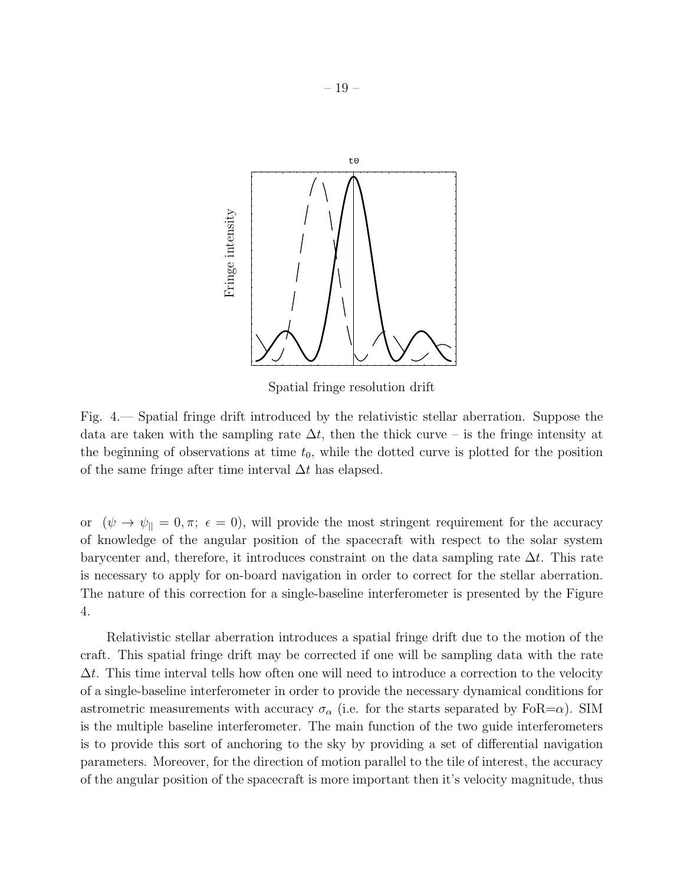

Spatial fringe resolution drift

Fig. 4.— Spatial fringe drift introduced by the relativistic stellar aberration. Suppose the data are taken with the sampling rate  $\Delta t$ , then the thick curve – is the fringe intensity at the beginning of observations at time  $t_0$ , while the dotted curve is plotted for the position of the same fringe after time interval  $\Delta t$  has elapsed.

or  $(\psi \to \psi_{\parallel} = 0, \pi; \epsilon = 0)$ , will provide the most stringent requirement for the accuracy of knowledge of the angular position of the spacecraft with respect to the solar system barycenter and, therefore, it introduces constraint on the data sampling rate  $\Delta t$ . This rate is necessary to apply for on-board navigation in order to correct for the stellar aberration. The nature of this correction for a single-baseline interferometer is presented by the Figure 4.

Relativistic stellar aberration introduces a spatial fringe drift due to the motion of the craft. This spatial fringe drift may be corrected if one will be sampling data with the rate  $\Delta t$ . This time interval tells how often one will need to introduce a correction to the velocity of a single-baseline interferometer in order to provide the necessary dynamical conditions for astrometric measurements with accuracy  $\sigma_{\alpha}$  (i.e. for the starts separated by FoR= $\alpha$ ). SIM is the multiple baseline interferometer. The main function of the two guide interferometers is to provide this sort of anchoring to the sky by providing a set of differential navigation parameters. Moreover, for the direction of motion parallel to the tile of interest, the accuracy of the angular position of the spacecraft is more important then it's velocity magnitude, thus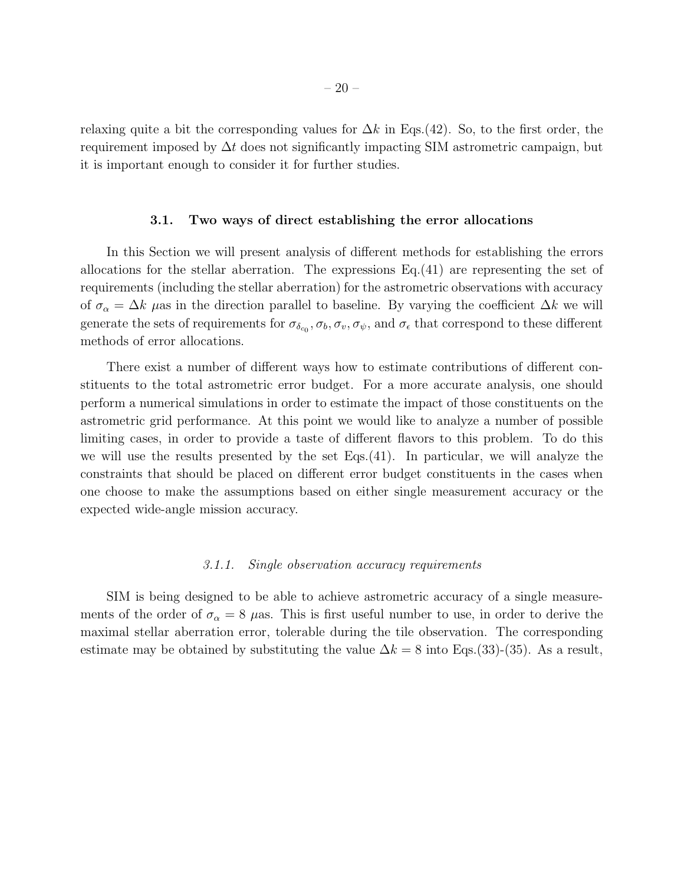relaxing quite a bit the corresponding values for  $\Delta k$  in Eqs.(42). So, to the first order, the requirement imposed by  $\Delta t$  does not significantly impacting SIM astrometric campaign, but it is important enough to consider it for further studies.

#### 3.1. Two ways of direct establishing the error allocations

In this Section we will present analysis of different methods for establishing the errors allocations for the stellar aberration. The expressions Eq.(41) are representing the set of requirements (including the stellar aberration) for the astrometric observations with accuracy of  $\sigma_{\alpha} = \Delta k$  µas in the direction parallel to baseline. By varying the coefficient  $\Delta k$  we will generate the sets of requirements for  $\sigma_{\delta_{c_0}}, \sigma_b, \sigma_v, \sigma_\psi$ , and  $\sigma_\epsilon$  that correspond to these different methods of error allocations.

There exist a number of different ways how to estimate contributions of different constituents to the total astrometric error budget. For a more accurate analysis, one should perform a numerical simulations in order to estimate the impact of those constituents on the astrometric grid performance. At this point we would like to analyze a number of possible limiting cases, in order to provide a taste of different flavors to this problem. To do this we will use the results presented by the set Eqs.(41). In particular, we will analyze the constraints that should be placed on different error budget constituents in the cases when one choose to make the assumptions based on either single measurement accuracy or the expected wide-angle mission accuracy.

#### *3.1.1. Single observation accuracy requirements*

SIM is being designed to be able to achieve astrometric accuracy of a single measurements of the order of  $\sigma_{\alpha} = 8$  µas. This is first useful number to use, in order to derive the maximal stellar aberration error, tolerable during the tile observation. The corresponding estimate may be obtained by substituting the value  $\Delta k = 8$  into Eqs.(33)-(35). As a result,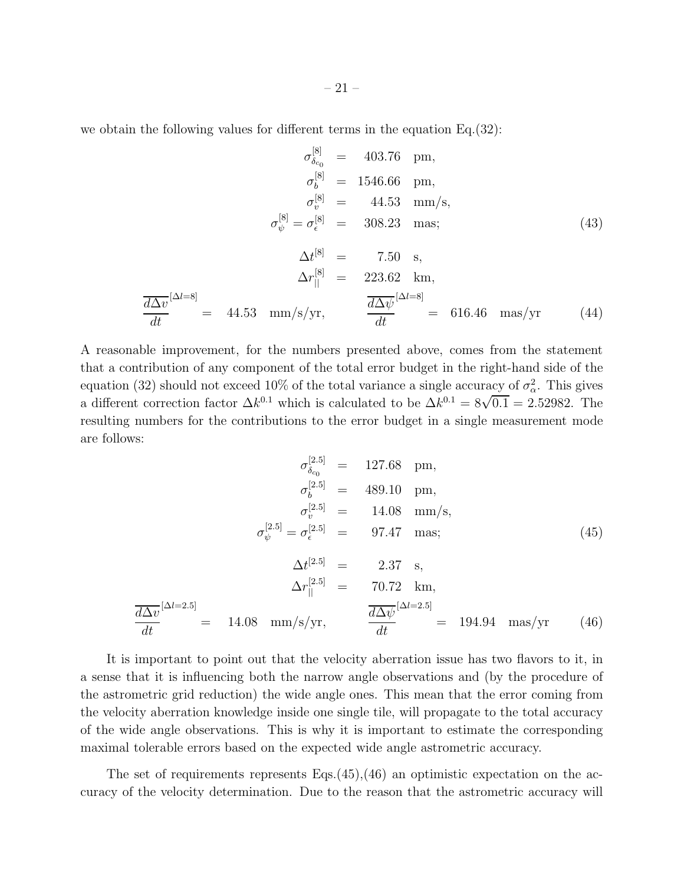we obtain the following values for different terms in the equation Eq.(32):

$$
\sigma_{\delta_{c_0}}^{[8]} = 403.76 \text{ pm},
$$
\n
$$
\sigma_b^{[8]} = 1546.66 \text{ pm},
$$
\n
$$
\sigma_v^{[8]} = 44.53 \text{ mm/s},
$$
\n
$$
\sigma_{\psi}^{[8]} = \sigma_{\epsilon}^{[8]} = 308.23 \text{ mas};
$$
\n
$$
\Delta t^{[8]} = 7.50 \text{ s},
$$
\n
$$
\Delta r_{\parallel}^{[8]} = 223.62 \text{ km},
$$
\n
$$
\frac{d\Delta v}{dt}^{[\Delta l = 8]} = 44.53 \text{ mm/s/yr},
$$
\n
$$
\frac{d\Delta \psi}{dt}^{[\Delta l = 8]} = 616.46 \text{ mas/yr}
$$
\n(44)

A reasonable improvement, for the numbers presented above, comes from the statement that a contribution of any component of the total error budget in the right-hand side of the equation (32) should not exceed 10% of the total variance a single accuracy of  $\sigma_{\alpha}^2$ . This gives a different correction factor  $\Delta k^{0.1}$  which is calculated to be  $\Delta k^{0.1} = 8\sqrt{0.1} = 2.52982$ . The resulting numbers for the contributions to the error budget in a single measurement mode are follows:

$$
\sigma_{\delta_{c_0}}^{[2.5]} = 127.68 \text{ pm}, \n\sigma_b^{[2.5]} = 489.10 \text{ pm}, \n\sigma_v^{[2.5]} = 14.08 \text{ mm/s}, \n\sigma_{\psi}^{[2.5]} = \sigma_{\epsilon}^{[2.5]} = 97.47 \text{ mas}; \n\Delta t^{[2.5]} = 2.37 \text{ s}, \n\Delta r_{||}^{[2.5]} = 70.72 \text{ km}, \n\frac{\overline{d\Delta v}}{dt}^{[\Delta l = 2.5]} = 14.08 \text{ mm/s/yr}, \qquad \frac{\overline{d\Delta \psi}}{dt}^{[\Delta l = 2.5]} = 194.94 \text{ mas/yr} (46)
$$

It is important to point out that the velocity aberration issue has two flavors to it, in a sense that it is influencing both the narrow angle observations and (by the procedure of the astrometric grid reduction) the wide angle ones. This mean that the error coming from the velocity aberration knowledge inside one single tile, will propagate to the total accuracy of the wide angle observations. This is why it is important to estimate the corresponding maximal tolerable errors based on the expected wide angle astrometric accuracy.

The set of requirements represents  $Eqs.(45),(46)$  an optimistic expectation on the accuracy of the velocity determination. Due to the reason that the astrometric accuracy will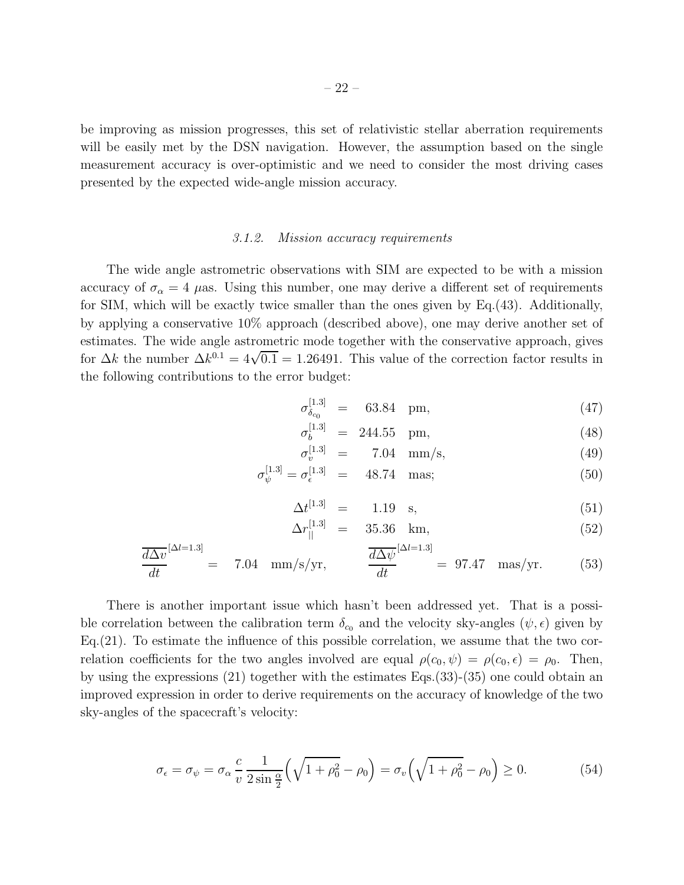be improving as mission progresses, this set of relativistic stellar aberration requirements will be easily met by the DSN navigation. However, the assumption based on the single measurement accuracy is over-optimistic and we need to consider the most driving cases presented by the expected wide-angle mission accuracy.

#### *3.1.2. Mission accuracy requirements*

The wide angle astrometric observations with SIM are expected to be with a mission accuracy of  $\sigma_{\alpha} = 4$  µas. Using this number, one may derive a different set of requirements for SIM, which will be exactly twice smaller than the ones given by Eq.(43). Additionally, by applying a conservative 10% approach (described above), one may derive another set of estimates. The wide angle astrometric mode together with the conservative approach, gives for  $\Delta k$  the number  $\Delta k^{0.1} = 4\sqrt{0.1} = 1.26491$ . This value of the correction factor results in the following contributions to the error budget:

$$
\sigma_{\delta_{c_0}}^{[1.3]} = 63.84 \text{ pm}, \qquad (47)
$$

$$
\sigma_b^{[1.3]} = 244.55 \text{ pm}, \qquad (48)
$$

$$
\sigma_v^{[1.3]} = 7.04 \, \text{mm/s}, \tag{49}
$$

$$
\sigma_{\psi}^{[1.3]} = \sigma_{\epsilon}^{[1.3]} = 48.74 \text{ mas}; \tag{50}
$$

$$
\Delta t^{[1.3]} = 1.19 \quad \text{s}, \tag{51}
$$

$$
\Delta r_{\parallel}^{[1.3]} = 35.36 \text{ km}, \tag{52}
$$

$$
\frac{\overline{d\Delta v}}{dt}^{[\Delta l=1.3]} = 7.04 \text{ mm/s/yr}, \qquad \frac{\overline{d\Delta \psi}}{dt}^{[\Delta l=1.3]} = 97.47 \text{ mas/yr}. \qquad (53)
$$

There is another important issue which hasn't been addressed yet. That is a possible correlation between the calibration term  $\delta_{c_0}$  and the velocity sky-angles  $(\psi, \epsilon)$  given by Eq.(21). To estimate the influence of this possible correlation, we assume that the two correlation coefficients for the two angles involved are equal  $\rho(c_0, \psi) = \rho(c_0, \epsilon) = \rho_0$ . Then, by using the expressions (21) together with the estimates Eqs.(33)-(35) one could obtain an improved expression in order to derive requirements on the accuracy of knowledge of the two sky-angles of the spacecraft's velocity:

$$
\sigma_{\epsilon} = \sigma_{\psi} = \sigma_{\alpha} \frac{c}{v} \frac{1}{2 \sin \frac{\alpha}{2}} \left( \sqrt{1 + \rho_0^2} - \rho_0 \right) = \sigma_v \left( \sqrt{1 + \rho_0^2} - \rho_0 \right) \ge 0. \tag{54}
$$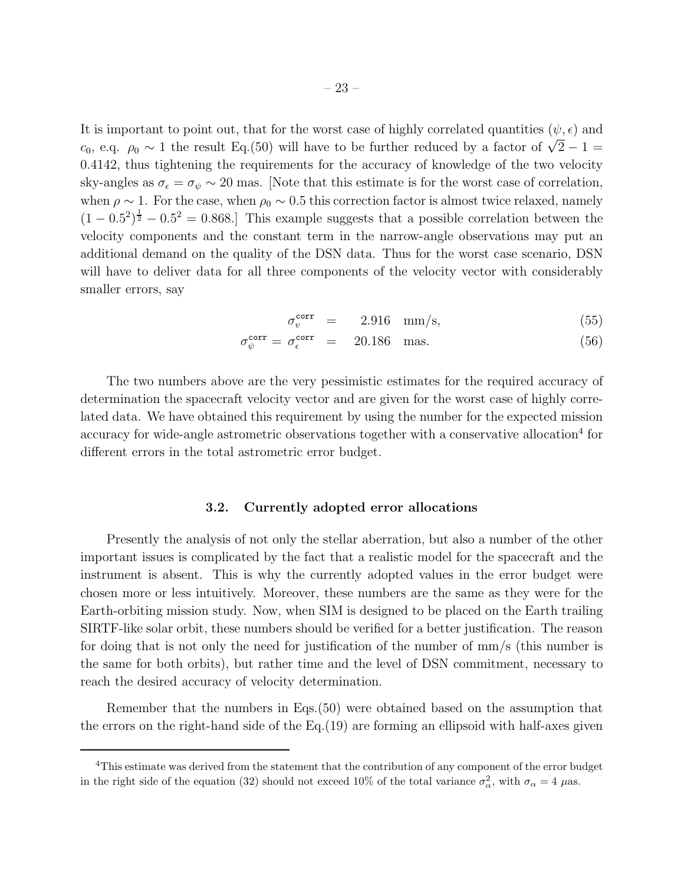It is important to point out, that for the worst case of highly correlated quantities  $(\psi, \epsilon)$  and c<sub>0</sub>, e.q.  $\rho_0 \sim 1$  the result Eq.(50) will have to be further reduced by a factor of  $\sqrt{2}-1$ 0.4142, thus tightening the requirements for the accuracy of knowledge of the two velocity sky-angles as  $\sigma_{\epsilon} = \sigma_{\psi} \sim 20$  mas. [Note that this estimate is for the worst case of correlation, when  $\rho \sim 1$ . For the case, when  $\rho_0 \sim 0.5$  this correction factor is almost twice relaxed, namely  $(1-0.5^2)^{\frac{1}{2}}-0.5^2=0.868$ . This example suggests that a possible correlation between the velocity components and the constant term in the narrow-angle observations may put an additional demand on the quality of the DSN data. Thus for the worst case scenario, DSN will have to deliver data for all three components of the velocity vector with considerably smaller errors, say

$$
\sigma_v^{\text{corr}} = 2.916 \text{ mm/s}, \tag{55}
$$

$$
\sigma_{\psi}^{\text{corr}} = \sigma_{\epsilon}^{\text{corr}} = 20.186 \text{ mas.} \tag{56}
$$

The two numbers above are the very pessimistic estimates for the required accuracy of determination the spacecraft velocity vector and are given for the worst case of highly correlated data. We have obtained this requirement by using the number for the expected mission accuracy for wide-angle astrometric observations together with a conservative allocation<sup>4</sup> for different errors in the total astrometric error budget.

#### 3.2. Currently adopted error allocations

Presently the analysis of not only the stellar aberration, but also a number of the other important issues is complicated by the fact that a realistic model for the spacecraft and the instrument is absent. This is why the currently adopted values in the error budget were chosen more or less intuitively. Moreover, these numbers are the same as they were for the Earth-orbiting mission study. Now, when SIM is designed to be placed on the Earth trailing SIRTF-like solar orbit, these numbers should be verified for a better justification. The reason for doing that is not only the need for justification of the number of mm/s (this number is the same for both orbits), but rather time and the level of DSN commitment, necessary to reach the desired accuracy of velocity determination.

Remember that the numbers in Eqs.(50) were obtained based on the assumption that the errors on the right-hand side of the  $Eq.(19)$  are forming an ellipsoid with half-axes given

<sup>&</sup>lt;sup>4</sup>This estimate was derived from the statement that the contribution of any component of the error budget in the right side of the equation (32) should not exceed 10% of the total variance  $\sigma_{\alpha}^2$ , with  $\sigma_{\alpha} = 4 \ \mu$ as.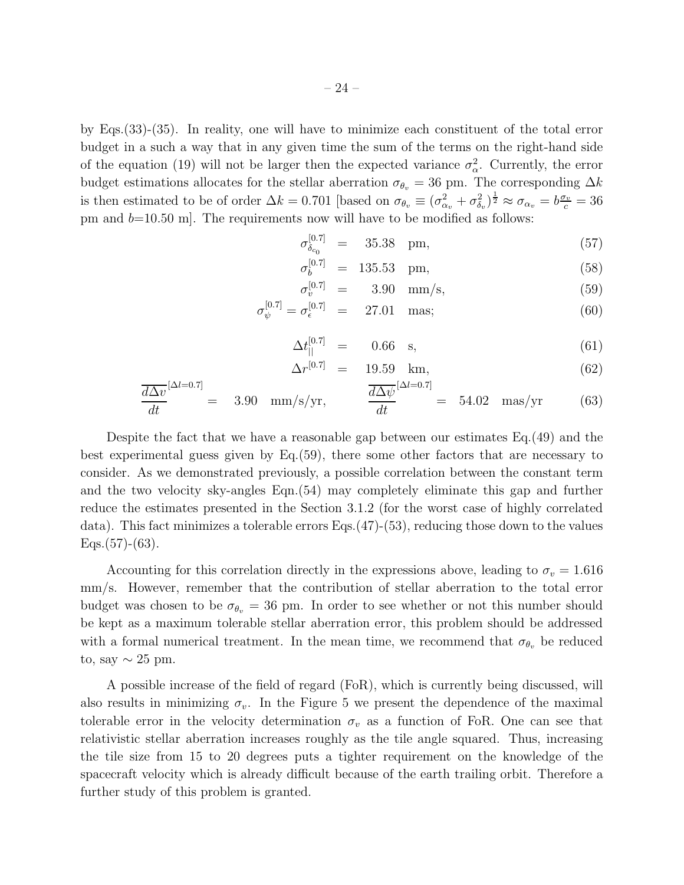by Eqs.(33)-(35). In reality, one will have to minimize each constituent of the total error budget in a such a way that in any given time the sum of the terms on the right-hand side of the equation (19) will not be larger then the expected variance  $\sigma_{\alpha}^2$ . Currently, the error budget estimations allocates for the stellar aberration  $\sigma_{\theta_v} = 36$  pm. The corresponding  $\Delta k$ is then estimated to be of order  $\Delta k = 0.701$  [based on  $\sigma_{\theta_v} \equiv (\sigma_{\alpha_v}^2 + \sigma_{\delta_v}^2)^{\frac{1}{2}} \approx \sigma_{\alpha_v} = b\frac{\sigma_v}{c} = 36$ pm and  $b=10.50$  m. The requirements now will have to be modified as follows:

$$
\sigma_{\delta_{c_0}}^{[0.7]} = 35.38 \text{ pm}, \qquad (57)
$$

$$
\sigma_b^{[0.7]} = 135.53 \text{ pm}, \qquad (58)
$$

$$
\sigma_v^{[0.7]} = 3.90 \text{ mm/s}, \tag{59}
$$

$$
\sigma_{\psi}^{[0.7]} = \sigma_{\epsilon}^{[0.7]} = 27.01 \text{ mas}; \qquad (60)
$$

$$
\Delta t_{||}^{[0.7]} = 0.66 \quad \text{s}, \tag{61}
$$

$$
\Delta r^{[0.7]} = 19.59 \text{ km}, \tag{62}
$$

$$
\frac{\overline{d\Delta v}}{dt}^{[\Delta l=0.7]} = 3.90 \text{ mm/s/yr}, \qquad \frac{\overline{d\Delta \psi}}{dt}^{[\Delta l=0.7]} = 54.02 \text{ mas/yr} \qquad (63)
$$

Despite the fact that we have a reasonable gap between our estimates Eq.(49) and the best experimental guess given by Eq.(59), there some other factors that are necessary to consider. As we demonstrated previously, a possible correlation between the constant term and the two velocity sky-angles Eqn.(54) may completely eliminate this gap and further reduce the estimates presented in the Section 3.1.2 (for the worst case of highly correlated data). This fact minimizes a tolerable errors Eqs.(47)-(53), reducing those down to the values  $Eqs.(57)-(63)$ .

Accounting for this correlation directly in the expressions above, leading to  $\sigma_v = 1.616$ mm/s. However, remember that the contribution of stellar aberration to the total error budget was chosen to be  $\sigma_{\theta_v} = 36$  pm. In order to see whether or not this number should be kept as a maximum tolerable stellar aberration error, this problem should be addressed with a formal numerical treatment. In the mean time, we recommend that  $\sigma_{\theta_v}$  be reduced to, say  $\sim 25$  pm.

A possible increase of the field of regard (FoR), which is currently being discussed, will also results in minimizing  $\sigma_v$ . In the Figure 5 we present the dependence of the maximal tolerable error in the velocity determination  $\sigma_v$  as a function of FoR. One can see that relativistic stellar aberration increases roughly as the tile angle squared. Thus, increasing the tile size from 15 to 20 degrees puts a tighter requirement on the knowledge of the spacecraft velocity which is already difficult because of the earth trailing orbit. Therefore a further study of this problem is granted.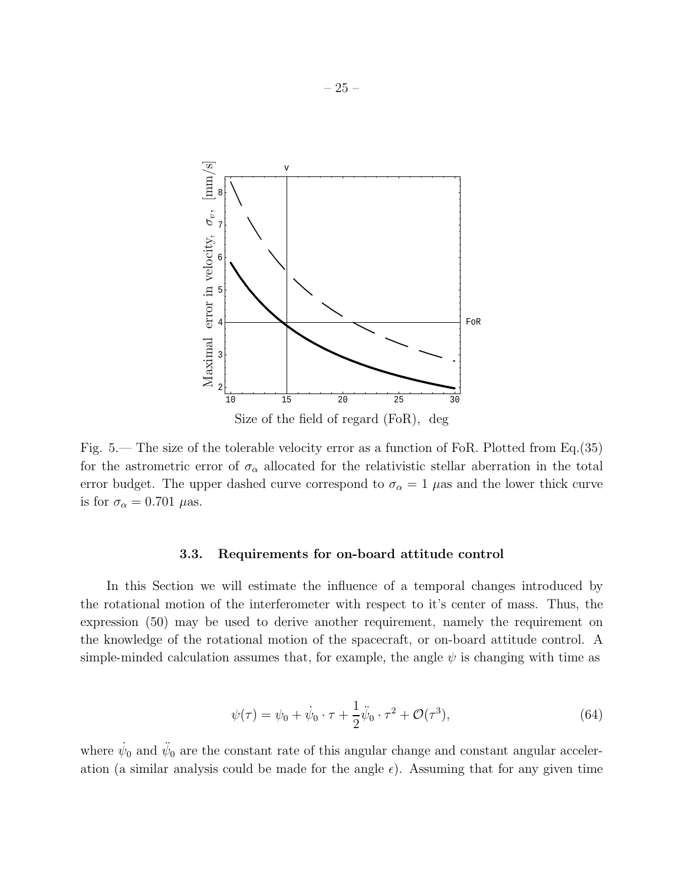

Fig. 5.— The size of the tolerable velocity error as a function of FoR. Plotted from Eq.(35) for the astrometric error of  $\sigma_{\alpha}$  allocated for the relativistic stellar aberration in the total error budget. The upper dashed curve correspond to  $\sigma_{\alpha} = 1$   $\mu$ as and the lower thick curve is for  $\sigma_{\alpha} = 0.701 \ \mu$ as.

#### 3.3. Requirements for on-board attitude control

In this Section we will estimate the influence of a temporal changes introduced by the rotational motion of the interferometer with respect to it's center of mass. Thus, the expression (50) may be used to derive another requirement, namely the requirement on the knowledge of the rotational motion of the spacecraft, or on-board attitude control. A simple-minded calculation assumes that, for example, the angle  $\psi$  is changing with time as

$$
\psi(\tau) = \psi_0 + \dot{\psi}_0 \cdot \tau + \frac{1}{2} \ddot{\psi}_0 \cdot \tau^2 + \mathcal{O}(\tau^3),\tag{64}
$$

where  $\dot{\psi}_0$  and  $\ddot{\psi}_0$  are the constant rate of this angular change and constant angular acceleration (a similar analysis could be made for the angle  $\epsilon$ ). Assuming that for any given time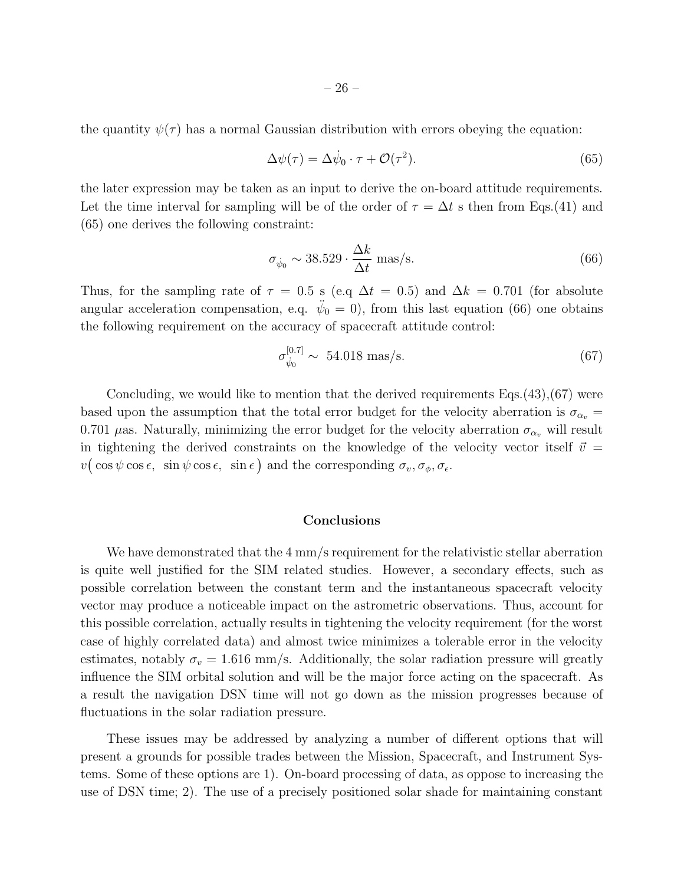the quantity  $\psi(\tau)$  has a normal Gaussian distribution with errors obeying the equation:

$$
\Delta \psi(\tau) = \Delta \dot{\psi}_0 \cdot \tau + \mathcal{O}(\tau^2). \tag{65}
$$

the later expression may be taken as an input to derive the on-board attitude requirements. Let the time interval for sampling will be of the order of  $\tau = \Delta t$  s then from Eqs.(41) and (65) one derives the following constraint:

$$
\sigma_{\dot{\psi}_0} \sim 38.529 \cdot \frac{\Delta k}{\Delta t} \text{ mas/s.}
$$
 (66)

Thus, for the sampling rate of  $\tau = 0.5$  s (e.q  $\Delta t = 0.5$ ) and  $\Delta k = 0.701$  (for absolute angular acceleration compensation, e.q.  $\ddot{\psi}_0 = 0$ , from this last equation (66) one obtains the following requirement on the accuracy of spacecraft attitude control:

$$
\sigma_{\dot{\psi}_0}^{[0.7]} \sim 54.018 \text{ mas/s.}
$$
 (67)

Concluding, we would like to mention that the derived requirements  $Eqs.(43),(67)$  were based upon the assumption that the total error budget for the velocity aberration is  $\sigma_{\alpha_v}$  = 0.701  $\mu$ as. Naturally, minimizing the error budget for the velocity aberration  $\sigma_{\alpha_v}$  will result in tightening the derived constraints on the knowledge of the velocity vector itself  $\vec{v}$  =  $v(\cos\psi\cos\epsilon, \sin\psi\cos\epsilon, \sin\epsilon)$  and the corresponding  $\sigma_v, \sigma_\phi, \sigma_\epsilon$ .

#### Conclusions

We have demonstrated that the 4 mm/s requirement for the relativistic stellar aberration is quite well justified for the SIM related studies. However, a secondary effects, such as possible correlation between the constant term and the instantaneous spacecraft velocity vector may produce a noticeable impact on the astrometric observations. Thus, account for this possible correlation, actually results in tightening the velocity requirement (for the worst case of highly correlated data) and almost twice minimizes a tolerable error in the velocity estimates, notably  $\sigma_v = 1.616$  mm/s. Additionally, the solar radiation pressure will greatly influence the SIM orbital solution and will be the major force acting on the spacecraft. As a result the navigation DSN time will not go down as the mission progresses because of fluctuations in the solar radiation pressure.

These issues may be addressed by analyzing a number of different options that will present a grounds for possible trades between the Mission, Spacecraft, and Instrument Systems. Some of these options are 1). On-board processing of data, as oppose to increasing the use of DSN time; 2). The use of a precisely positioned solar shade for maintaining constant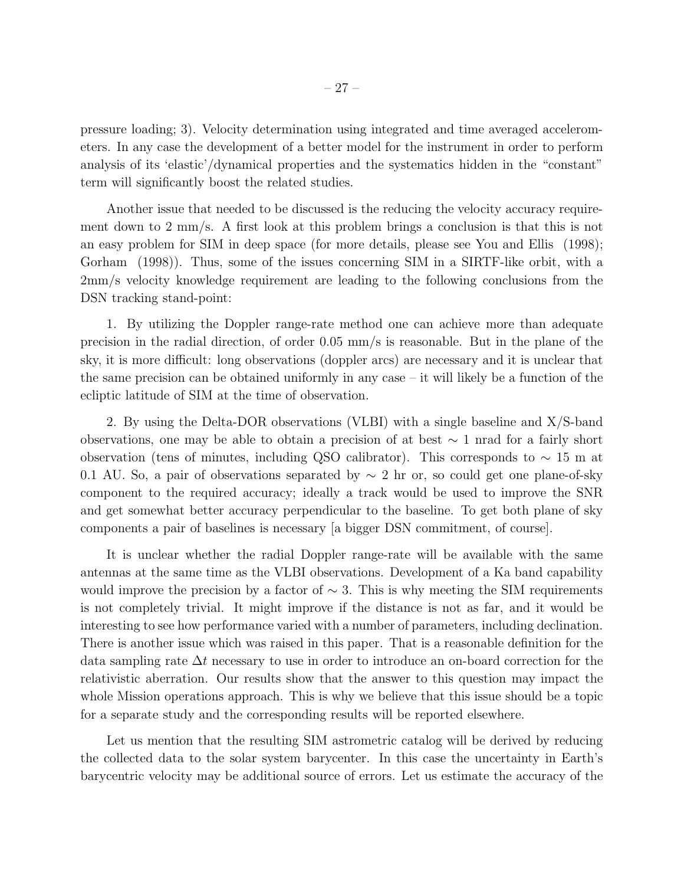pressure loading; 3). Velocity determination using integrated and time averaged accelerometers. In any case the development of a better model for the instrument in order to perform analysis of its 'elastic'/dynamical properties and the systematics hidden in the "constant" term will significantly boost the related studies.

Another issue that needed to be discussed is the reducing the velocity accuracy requirement down to 2 mm/s. A first look at this problem brings a conclusion is that this is not an easy problem for SIM in deep space (for more details, please see You and Ellis (1998); Gorham (1998)). Thus, some of the issues concerning SIM in a SIRTF-like orbit, with a 2mm/s velocity knowledge requirement are leading to the following conclusions from the DSN tracking stand-point:

1. By utilizing the Doppler range-rate method one can achieve more than adequate precision in the radial direction, of order 0.05 mm/s is reasonable. But in the plane of the sky, it is more difficult: long observations (doppler arcs) are necessary and it is unclear that the same precision can be obtained uniformly in any case – it will likely be a function of the ecliptic latitude of SIM at the time of observation.

2. By using the Delta-DOR observations (VLBI) with a single baseline and X/S-band observations, one may be able to obtain a precision of at best ∼ 1 nrad for a fairly short observation (tens of minutes, including QSO calibrator). This corresponds to ∼ 15 m at 0.1 AU. So, a pair of observations separated by  $\sim 2$  hr or, so could get one plane-of-sky component to the required accuracy; ideally a track would be used to improve the SNR and get somewhat better accuracy perpendicular to the baseline. To get both plane of sky components a pair of baselines is necessary [a bigger DSN commitment, of course].

It is unclear whether the radial Doppler range-rate will be available with the same antennas at the same time as the VLBI observations. Development of a Ka band capability would improve the precision by a factor of  $\sim$  3. This is why meeting the SIM requirements is not completely trivial. It might improve if the distance is not as far, and it would be interesting to see how performance varied with a number of parameters, including declination. There is another issue which was raised in this paper. That is a reasonable definition for the data sampling rate ∆t necessary to use in order to introduce an on-board correction for the relativistic aberration. Our results show that the answer to this question may impact the whole Mission operations approach. This is why we believe that this issue should be a topic for a separate study and the corresponding results will be reported elsewhere.

Let us mention that the resulting SIM astrometric catalog will be derived by reducing the collected data to the solar system barycenter. In this case the uncertainty in Earth's barycentric velocity may be additional source of errors. Let us estimate the accuracy of the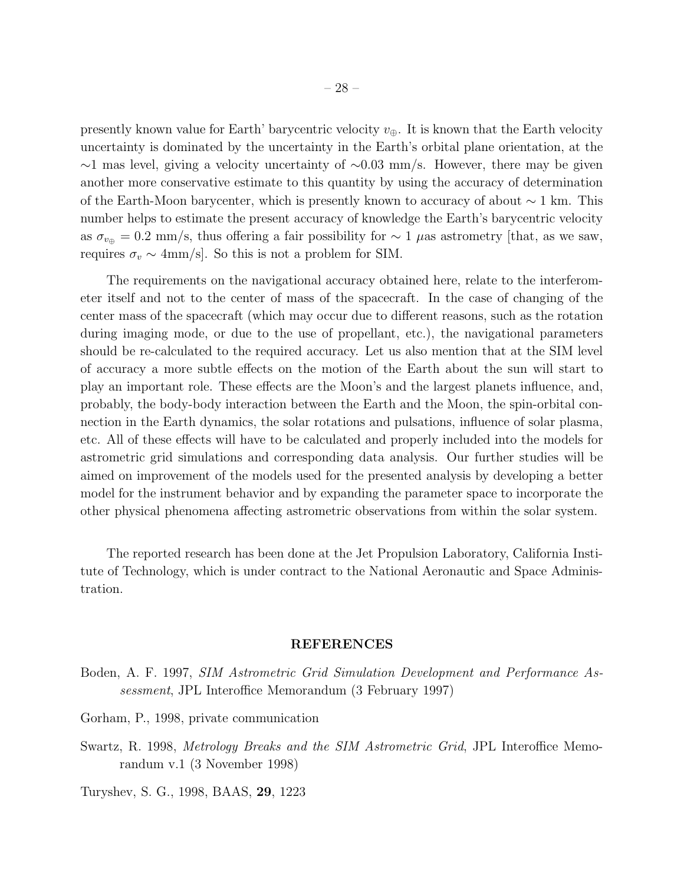presently known value for Earth' barycentric velocity  $v_{\oplus}$ . It is known that the Earth velocity uncertainty is dominated by the uncertainty in the Earth's orbital plane orientation, at the ∼1 mas level, giving a velocity uncertainty of ∼0.03 mm/s. However, there may be given another more conservative estimate to this quantity by using the accuracy of determination of the Earth-Moon barycenter, which is presently known to accuracy of about  $\sim 1$  km. This number helps to estimate the present accuracy of knowledge the Earth's barycentric velocity as  $\sigma_{v_{\oplus}} = 0.2$  mm/s, thus offering a fair possibility for  $\sim 1$  µas astrometry [that, as we saw, requires  $\sigma_v \sim 4 \text{mm/s}$ . So this is not a problem for SIM.

The requirements on the navigational accuracy obtained here, relate to the interferometer itself and not to the center of mass of the spacecraft. In the case of changing of the center mass of the spacecraft (which may occur due to different reasons, such as the rotation during imaging mode, or due to the use of propellant, etc.), the navigational parameters should be re-calculated to the required accuracy. Let us also mention that at the SIM level of accuracy a more subtle effects on the motion of the Earth about the sun will start to play an important role. These effects are the Moon's and the largest planets influence, and, probably, the body-body interaction between the Earth and the Moon, the spin-orbital connection in the Earth dynamics, the solar rotations and pulsations, influence of solar plasma, etc. All of these effects will have to be calculated and properly included into the models for astrometric grid simulations and corresponding data analysis. Our further studies will be aimed on improvement of the models used for the presented analysis by developing a better model for the instrument behavior and by expanding the parameter space to incorporate the other physical phenomena affecting astrometric observations from within the solar system.

The reported research has been done at the Jet Propulsion Laboratory, California Institute of Technology, which is under contract to the National Aeronautic and Space Administration.

#### REFERENCES

- Boden, A. F. 1997, *SIM Astrometric Grid Simulation Development and Performance Assessment*, JPL Interoffice Memorandum (3 February 1997)
- Gorham, P., 1998, private communication
- Swartz, R. 1998, *Metrology Breaks and the SIM Astrometric Grid*, JPL Interoffice Memorandum v.1 (3 November 1998)

Turyshev, S. G., 1998, BAAS, 29, 1223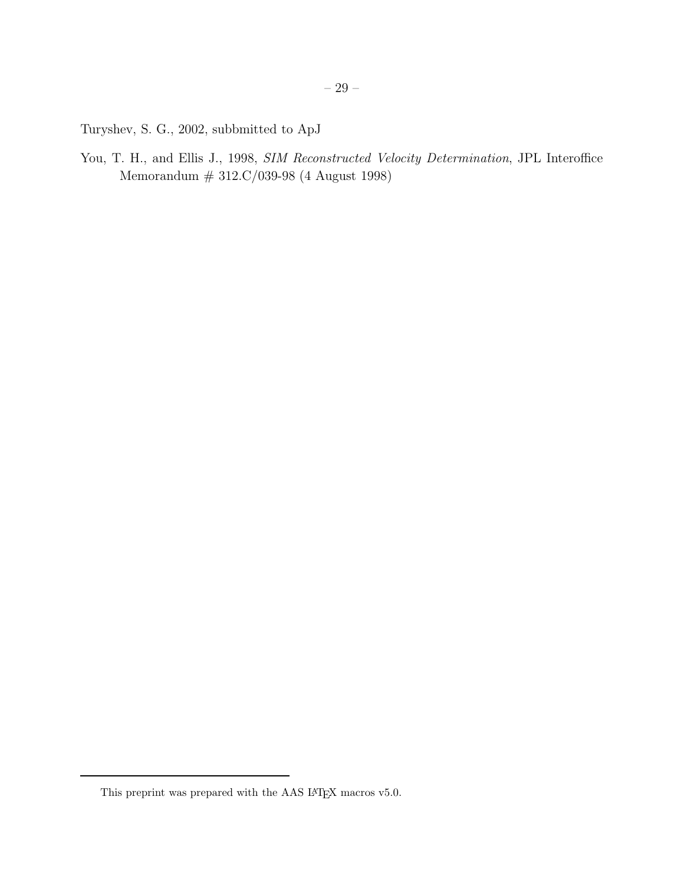Turyshev, S. G., 2002, subbmitted to ApJ

You, T. H., and Ellis J., 1998, *SIM Reconstructed Velocity Determination*, JPL Interoffice Memorandum # 312.C/039-98 (4 August 1998)

This preprint was prepared with the AAS  $\rm \emph{L+TEX}$  macros v5.0.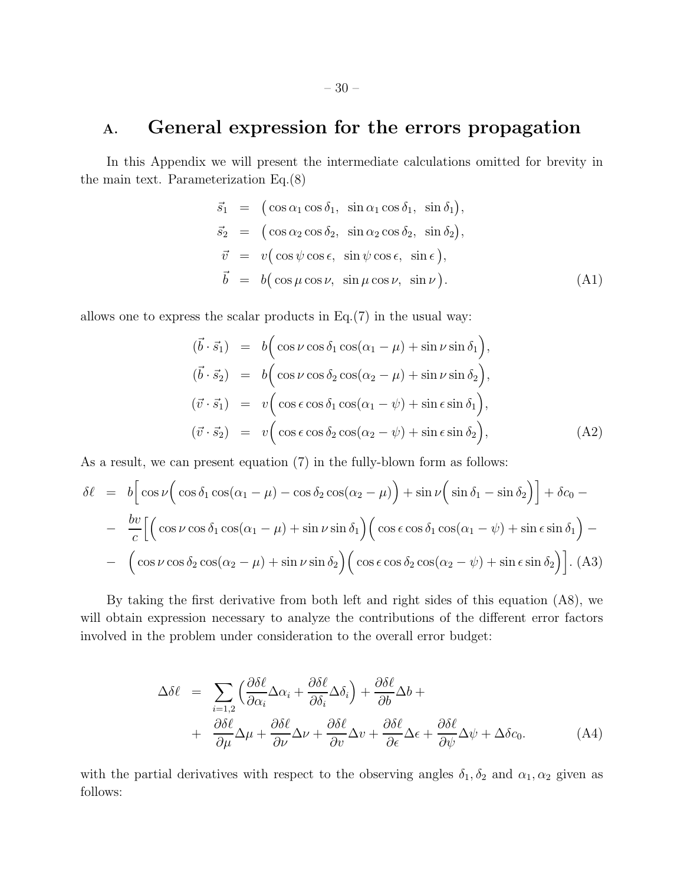## A. General expression for the errors propagation

In this Appendix we will present the intermediate calculations omitted for brevity in the main text. Parameterization Eq.(8)

$$
\vec{s}_1 = (\cos \alpha_1 \cos \delta_1, \sin \alpha_1 \cos \delta_1, \sin \delta_1), \n\vec{s}_2 = (\cos \alpha_2 \cos \delta_2, \sin \alpha_2 \cos \delta_2, \sin \delta_2), \n\vec{v} = v(\cos \psi \cos \epsilon, \sin \psi \cos \epsilon, \sin \epsilon), \n\vec{b} = b(\cos \mu \cos \nu, \sin \mu \cos \nu, \sin \nu).
$$
\n(A1)

allows one to express the scalar products in  $Eq. (7)$  in the usual way:

$$
(\vec{b} \cdot \vec{s}_1) = b \Big( \cos \nu \cos \delta_1 \cos(\alpha_1 - \mu) + \sin \nu \sin \delta_1 \Big),
$$
  
\n
$$
(\vec{b} \cdot \vec{s}_2) = b \Big( \cos \nu \cos \delta_2 \cos(\alpha_2 - \mu) + \sin \nu \sin \delta_2 \Big),
$$
  
\n
$$
(\vec{v} \cdot \vec{s}_1) = v \Big( \cos \epsilon \cos \delta_1 \cos(\alpha_1 - \psi) + \sin \epsilon \sin \delta_1 \Big),
$$
  
\n
$$
(\vec{v} \cdot \vec{s}_2) = v \Big( \cos \epsilon \cos \delta_2 \cos(\alpha_2 - \psi) + \sin \epsilon \sin \delta_2 \Big),
$$
\n(A2)

As a result, we can present equation (7) in the fully-blown form as follows:

$$
\delta \ell = b \Big[ \cos \nu \Big( \cos \delta_1 \cos(\alpha_1 - \mu) - \cos \delta_2 \cos(\alpha_2 - \mu) \Big) + \sin \nu \Big( \sin \delta_1 - \sin \delta_2 \Big) \Big] + \delta c_0 -
$$
  

$$
- \frac{b v}{c} \Big[ \Big( \cos \nu \cos \delta_1 \cos(\alpha_1 - \mu) + \sin \nu \sin \delta_1 \Big) \Big( \cos \epsilon \cos \delta_1 \cos(\alpha_1 - \psi) + \sin \epsilon \sin \delta_1 \Big) -
$$
  

$$
- \Big( \cos \nu \cos \delta_2 \cos(\alpha_2 - \mu) + \sin \nu \sin \delta_2 \Big) \Big( \cos \epsilon \cos \delta_2 \cos(\alpha_2 - \psi) + \sin \epsilon \sin \delta_2 \Big) \Big].
$$
 (A3)

By taking the first derivative from both left and right sides of this equation (A8), we will obtain expression necessary to analyze the contributions of the different error factors involved in the problem under consideration to the overall error budget:

$$
\Delta \delta \ell = \sum_{i=1,2} \left( \frac{\partial \delta \ell}{\partial \alpha_i} \Delta \alpha_i + \frac{\partial \delta \ell}{\partial \delta_i} \Delta \delta_i \right) + \frac{\partial \delta \ell}{\partial b} \Delta b + + \frac{\partial \delta \ell}{\partial \mu} \Delta \mu + \frac{\partial \delta \ell}{\partial \nu} \Delta \nu + \frac{\partial \delta \ell}{\partial v} \Delta v + \frac{\partial \delta \ell}{\partial \epsilon} \Delta \epsilon + \frac{\partial \delta \ell}{\partial \psi} \Delta \psi + \Delta \delta c_0.
$$
 (A4)

with the partial derivatives with respect to the observing angles  $\delta_1, \delta_2$  and  $\alpha_1, \alpha_2$  given as follows: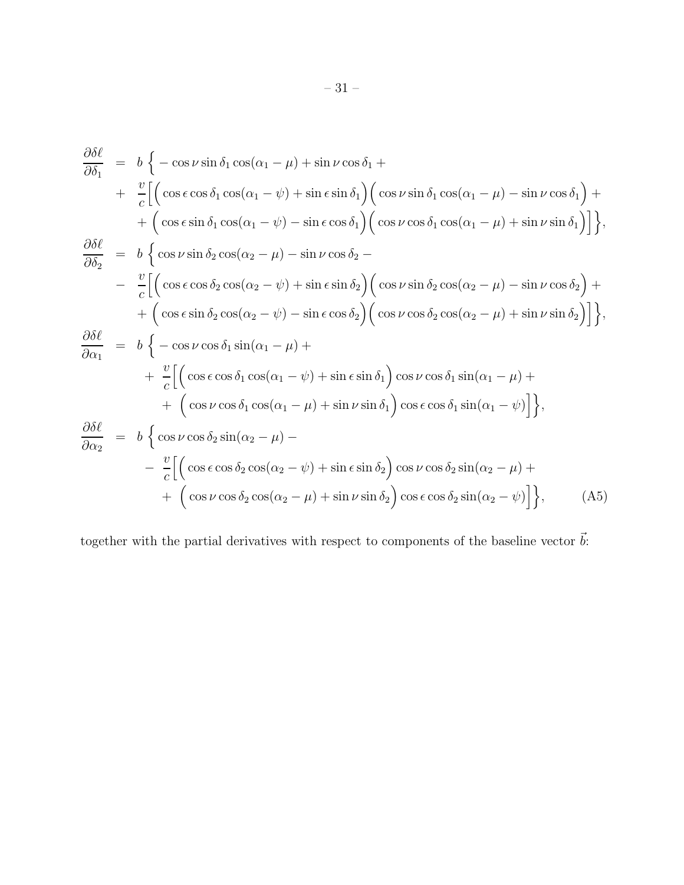$$
\frac{\partial \delta \ell}{\partial \delta_1} = b \left\{ -\cos \nu \sin \delta_1 \cos(\alpha_1 - \mu) + \sin \nu \cos \delta_1 + \frac{\nu}{c} \Big[ \Big( \cos \epsilon \cos \delta_1 \cos(\alpha_1 - \mu) + \sin \epsilon \sin \delta_1 \Big) \Big( \cos \nu \sin \delta_1 \cos(\alpha_1 - \mu) - \sin \nu \cos \delta_1 \Big) + \frac{\partial \delta \ell}{\partial \delta_2} \right] = b \left\{ \cos \nu \sin \delta_2 \cos(\alpha_2 - \mu) - \sin \nu \cos \delta_2 - \frac{\nu}{c} \Big[ \Big( \cos \epsilon \cos \delta_2 \cos(\alpha_2 - \mu) - \sin \nu \cos \delta_2 \Big) - \frac{\nu}{c} \Big[ \Big( \cos \epsilon \cos \delta_2 \cos(\alpha_2 - \mu) - \sin \nu \cos \delta_2 \Big) + \frac{\partial \delta \ell}{\partial \alpha_1} \right] = b \left\{ -\cos \nu \cos \delta_1 \sin(\alpha_1 - \mu) + \frac{\nu}{c} \Big[ \Big( \cos \epsilon \cos \delta_1 \cos(\alpha_2 - \mu) - \sin \epsilon \cos \delta_2 \Big) \Big( \cos \nu \cos \delta_2 \cos(\alpha_2 - \mu) + \sin \nu \sin \delta_2 \Big) \Big] \right\},\newline
$$
  
\n
$$
\frac{\partial \delta \ell}{\partial \alpha_1} = b \left\{ -\cos \nu \cos \delta_1 \sin(\alpha_1 - \mu) + \frac{\nu}{c} \Big[ \Big( \cos \epsilon \cos \delta_1 \cos(\alpha_1 - \mu) + \sin \nu \sin \delta_1 \Big) \cos \nu \cos \delta_1 \sin(\alpha_1 - \mu) + \frac{\nu}{c} \Big[ \Big( \cos \epsilon \cos \delta_1 \cos(\alpha_1 - \mu) + \sin \nu \sin \delta_1 \Big) \cos \epsilon \cos \delta_1 \sin(\alpha_1 - \nu) \Big] \right\},\newline
$$
  
\n
$$
\frac{\partial \delta \ell}{\partial \alpha_2} = b \left\{ \cos \nu \cos \delta_2 \sin(\alpha_2 - \mu) - \frac{\nu}{c} \Big[ \Big( \cos \epsilon \cos \delta_2 \cos(\alpha_2 - \mu) + \sin \epsilon \sin \delta_2 \Big) \cos \nu \cos \delta_2 \sin(\alpha_2 - \mu) + \frac{\nu}{c
$$

together with the partial derivatives with respect to components of the baseline vector  $\vec{b}$ :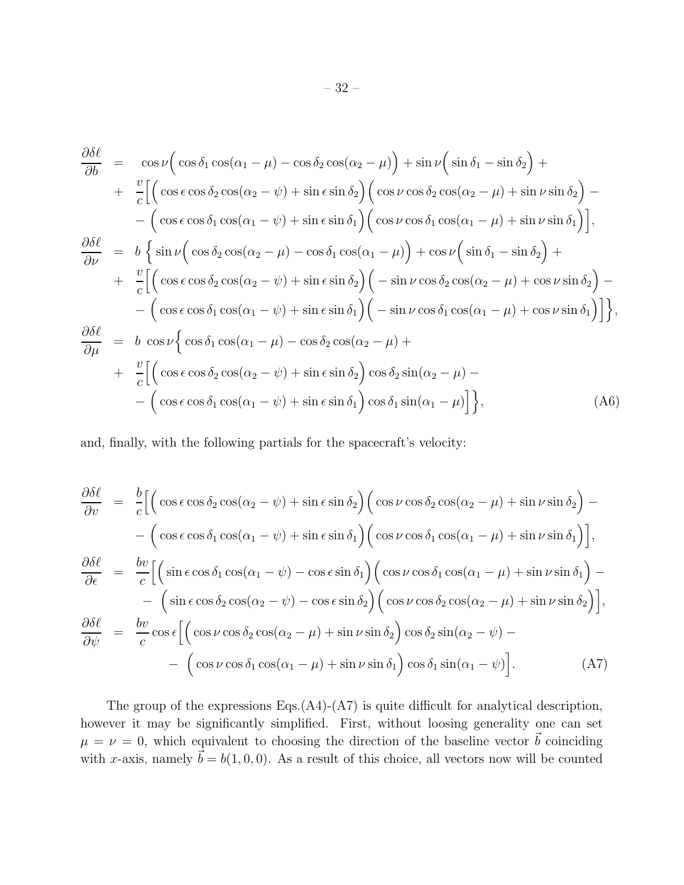$$
\frac{\partial \delta \ell}{\partial b} = \cos \nu \Big( \cos \delta_1 \cos(\alpha_1 - \mu) - \cos \delta_2 \cos(\alpha_2 - \mu) \Big) + \sin \nu \Big( \sin \delta_1 - \sin \delta_2 \Big) +
$$
  
+ 
$$
\frac{v}{c} \Big[ \Big( \cos \epsilon \cos \delta_2 \cos(\alpha_2 - \psi) + \sin \epsilon \sin \delta_2 \Big) \Big( \cos \nu \cos \delta_2 \cos(\alpha_2 - \mu) + \sin \nu \sin \delta_2 \Big) -
$$
  
- 
$$
\Big( \cos \epsilon \cos \delta_1 \cos(\alpha_1 - \psi) + \sin \epsilon \sin \delta_1 \Big) \Big( \cos \nu \cos \delta_1 \cos(\alpha_1 - \mu) + \sin \nu \sin \delta_1 \Big) \Big],
$$
  

$$
\frac{\partial \delta \ell}{\partial \nu} = b \Big\{ \sin \nu \Big( \cos \delta_2 \cos(\alpha_2 - \mu) - \cos \delta_1 \cos(\alpha_1 - \mu) \Big) + \cos \nu \Big( \sin \delta_1 - \sin \delta_2 \Big) +
$$
  
+ 
$$
\frac{v}{c} \Big[ \Big( \cos \epsilon \cos \delta_2 \cos(\alpha_2 - \psi) + \sin \epsilon \sin \delta_2 \Big) \Big( - \sin \nu \cos \delta_2 \cos(\alpha_2 - \mu) + \cos \nu \sin \delta_2 \Big) -
$$
  
- 
$$
\Big( \cos \epsilon \cos \delta_1 \cos(\alpha_1 - \psi) + \sin \epsilon \sin \delta_1 \Big) \Big( - \sin \nu \cos \delta_1 \cos(\alpha_1 - \mu) + \cos \nu \sin \delta_1 \Big) \Big] \Big\},
$$
  

$$
\frac{\partial \delta \ell}{\partial \mu} = b \cos \nu \Big\{ \cos \delta_1 \cos(\alpha_1 - \mu) - \cos \delta_2 \cos(\alpha_2 - \mu) +
$$
  
+ 
$$
\frac{v}{c} \Big[ \Big( \cos \epsilon \cos \delta_2 \cos(\alpha_2 - \psi) + \sin \epsilon \sin \delta_2 \Big) \cos \delta_2 \sin(\alpha_2 - \mu) -
$$
  
- 
$$
\Big( \cos \epsilon \cos \delta_1 \cos(\alpha_1 - \psi) + \sin \epsilon \sin \delta_1 \Big) \cos \delta_1 \sin(\alpha_1 - \mu) \Big] \Big\},
$$

and, finally, with the following partials for the spacecraft's velocity:

$$
\frac{\partial \delta \ell}{\partial v} = \frac{b}{c} \Big[ \Big( \cos \epsilon \cos \delta_2 \cos(\alpha_2 - \psi) + \sin \epsilon \sin \delta_2 \Big) \Big( \cos \nu \cos \delta_2 \cos(\alpha_2 - \mu) + \sin \nu \sin \delta_2 \Big) -
$$

$$
- \Big( \cos \epsilon \cos \delta_1 \cos(\alpha_1 - \psi) + \sin \epsilon \sin \delta_1 \Big) \Big( \cos \nu \cos \delta_1 \cos(\alpha_1 - \mu) + \sin \nu \sin \delta_1 \Big) \Big],
$$

$$
\frac{\partial \delta \ell}{\partial \epsilon} = \frac{bv}{c} \Big[ \Big( \sin \epsilon \cos \delta_1 \cos(\alpha_1 - \psi) - \cos \epsilon \sin \delta_1 \Big) \Big( \cos \nu \cos \delta_1 \cos(\alpha_1 - \mu) + \sin \nu \sin \delta_1 \Big) -
$$

$$
- \Big( \sin \epsilon \cos \delta_2 \cos(\alpha_2 - \psi) - \cos \epsilon \sin \delta_2 \Big) \Big( \cos \nu \cos \delta_2 \cos(\alpha_2 - \mu) + \sin \nu \sin \delta_2 \Big) \Big],
$$

$$
\frac{\partial \delta \ell}{\partial \psi} = \frac{bv}{c} \cos \epsilon \Big[ \Big( \cos \nu \cos \delta_2 \cos(\alpha_2 - \mu) + \sin \nu \sin \delta_2 \Big) \cos \delta_2 \sin(\alpha_2 - \psi) -
$$

$$
- \Big( \cos \nu \cos \delta_1 \cos(\alpha_1 - \mu) + \sin \nu \sin \delta_1 \Big) \cos \delta_1 \sin(\alpha_1 - \psi) \Big]. \tag{A7}
$$

The group of the expressions Eqs. $(A4)-(A7)$  is quite difficult for analytical description, however it may be significantly simplified. First, without loosing generality one can set  $\mu = \nu = 0$ , which equivalent to choosing the direction of the baseline vector  $\vec{b}$  coinciding with x-axis, namely  $\vec{b} = b(1, 0, 0)$ . As a result of this choice, all vectors now will be counted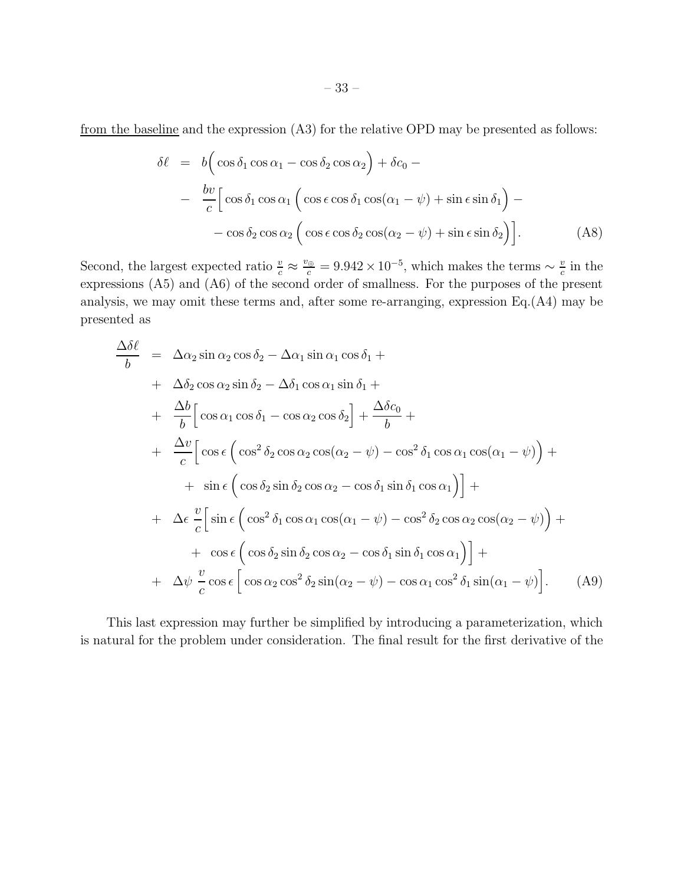from the baseline and the expression (A3) for the relative OPD may be presented as follows:

$$
\delta \ell = b \Big( \cos \delta_1 \cos \alpha_1 - \cos \delta_2 \cos \alpha_2 \Big) + \delta c_0 -
$$
  

$$
- \frac{b v}{c} \Big[ \cos \delta_1 \cos \alpha_1 \Big( \cos \epsilon \cos \delta_1 \cos(\alpha_1 - \psi) + \sin \epsilon \sin \delta_1 \Big) -
$$
  

$$
- \cos \delta_2 \cos \alpha_2 \Big( \cos \epsilon \cos \delta_2 \cos(\alpha_2 - \psi) + \sin \epsilon \sin \delta_2 \Big) \Big].
$$
 (A8)

Second, the largest expected ratio  $\frac{v}{c} \approx \frac{v_{\oplus}}{c} = 9.942 \times 10^{-5}$ , which makes the terms  $\sim \frac{v}{c}$  $\frac{v}{c}$  in the expressions (A5) and (A6) of the second order of smallness. For the purposes of the present analysis, we may omit these terms and, after some re-arranging, expression Eq.(A4) may be presented as

$$
\frac{\Delta \delta \ell}{b} = \Delta \alpha_2 \sin \alpha_2 \cos \delta_2 - \Delta \alpha_1 \sin \alpha_1 \cos \delta_1 +
$$
  
+  $\Delta \delta_2 \cos \alpha_2 \sin \delta_2 - \Delta \delta_1 \cos \alpha_1 \sin \delta_1 +$   
+  $\frac{\Delta b}{b} [\cos \alpha_1 \cos \delta_1 - \cos \alpha_2 \cos \delta_2] + \frac{\Delta \delta c_0}{b} +$   
+  $\frac{\Delta v}{c} [\cos \epsilon (\cos^2 \delta_2 \cos \alpha_2 \cos(\alpha_2 - \psi) - \cos^2 \delta_1 \cos \alpha_1 \cos(\alpha_1 - \psi)) +$   
+  $\sin \epsilon (\cos \delta_2 \sin \delta_2 \cos \alpha_2 - \cos \delta_1 \sin \delta_1 \cos \alpha_1)] +$   
+  $\Delta \epsilon \frac{v}{c} [\sin \epsilon (\cos^2 \delta_1 \cos \alpha_1 \cos(\alpha_1 - \psi) - \cos^2 \delta_2 \cos \alpha_2 \cos(\alpha_2 - \psi)) +$   
+  $\cos \epsilon (\cos \delta_2 \sin \delta_2 \cos \alpha_2 - \cos \delta_1 \sin \delta_1 \cos \alpha_1)] +$   
+  $\Delta \psi \frac{v}{c} \cos \epsilon [\cos \alpha_2 \cos^2 \delta_2 \sin(\alpha_2 - \psi) - \cos \alpha_1 \cos^2 \delta_1 \sin(\alpha_1 - \psi)].$  (A9)

This last expression may further be simplified by introducing a parameterization, which is natural for the problem under consideration. The final result for the first derivative of the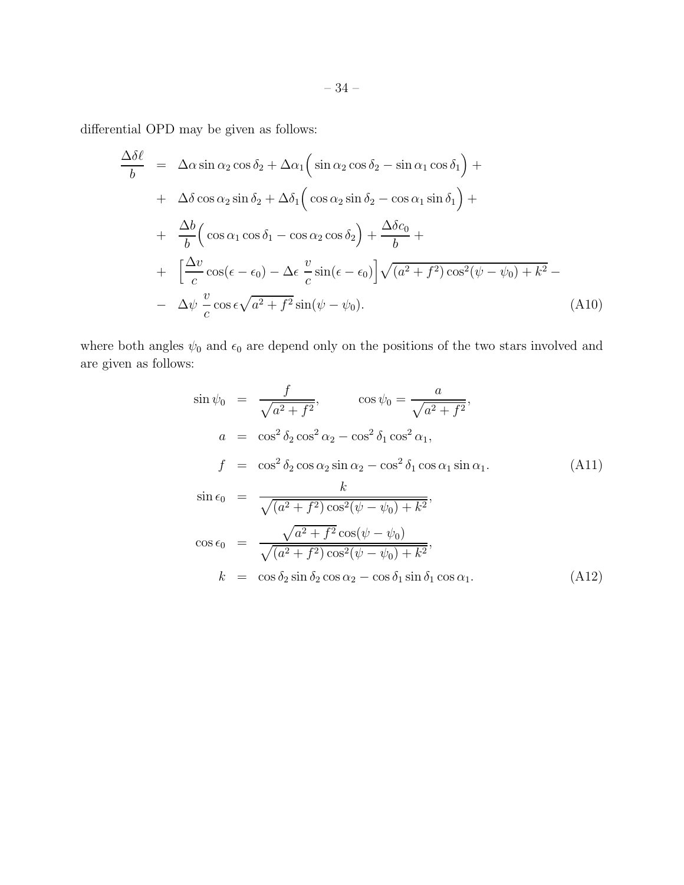differential OPD may be given as follows:

$$
\frac{\Delta\delta\ell}{b} = \Delta\alpha \sin \alpha_2 \cos \delta_2 + \Delta\alpha_1 \Big(\sin \alpha_2 \cos \delta_2 - \sin \alpha_1 \cos \delta_1\Big) + \n+ \Delta\delta \cos \alpha_2 \sin \delta_2 + \Delta\delta_1 \Big(\cos \alpha_2 \sin \delta_2 - \cos \alpha_1 \sin \delta_1\Big) + \n+ \frac{\Delta b}{b} \Big(\cos \alpha_1 \cos \delta_1 - \cos \alpha_2 \cos \delta_2\Big) + \frac{\Delta\delta c_0}{b} + \n+ \Big[\frac{\Delta v}{c} \cos(\epsilon - \epsilon_0) - \Delta \epsilon \frac{v}{c} \sin(\epsilon - \epsilon_0)\Big] \sqrt{(a^2 + f^2) \cos^2(\psi - \psi_0) + k^2} - \n- \Delta \psi \frac{v}{c} \cos \epsilon \sqrt{a^2 + f^2} \sin(\psi - \psi_0).
$$
\n(A10)

where both angles  $\psi_0$  and  $\epsilon_0$  are depend only on the positions of the two stars involved and are given as follows:

$$
\sin \psi_0 = \frac{f}{\sqrt{a^2 + f^2}}, \qquad \cos \psi_0 = \frac{a}{\sqrt{a^2 + f^2}},
$$
  
\n
$$
a = \cos^2 \delta_2 \cos^2 \alpha_2 - \cos^2 \delta_1 \cos^2 \alpha_1,
$$
  
\n
$$
f = \cos^2 \delta_2 \cos \alpha_2 \sin \alpha_2 - \cos^2 \delta_1 \cos \alpha_1 \sin \alpha_1.
$$
  
\n
$$
\sin \epsilon_0 = \frac{k}{\sqrt{(a^2 + f^2)\cos^2(\psi - \psi_0) + k^2}},
$$
  
\n
$$
\cos \epsilon_0 = \frac{\sqrt{a^2 + f^2}\cos(\psi - \psi_0)}{\sqrt{(a^2 + f^2)\cos^2(\psi - \psi_0) + k^2}},
$$
  
\n
$$
k = \cos \delta_2 \sin \delta_2 \cos \alpha_2 - \cos \delta_1 \sin \delta_1 \cos \alpha_1.
$$
  
\n(A12)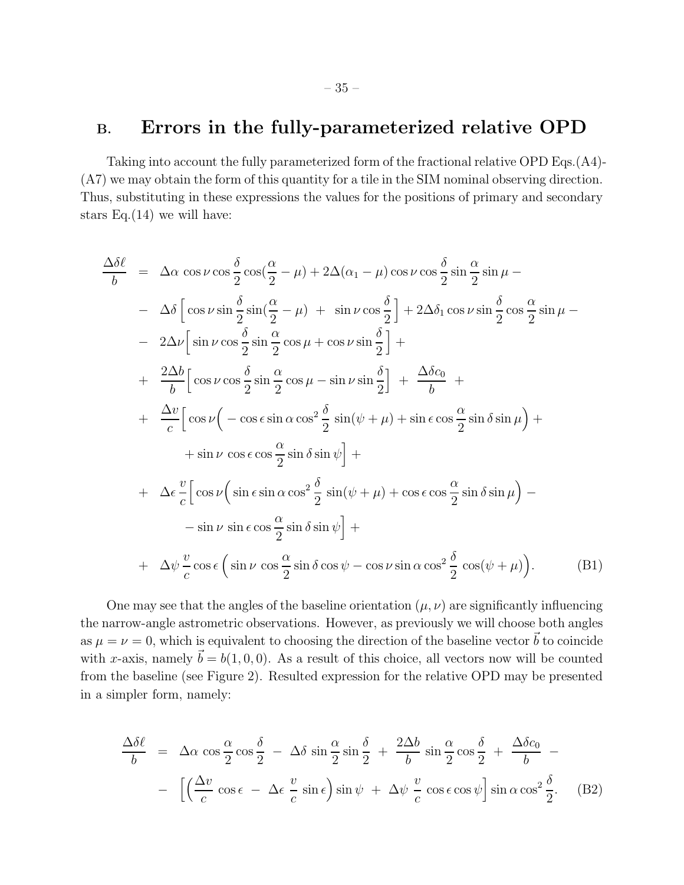# B. Errors in the fully-parameterized relative OPD

Taking into account the fully parameterized form of the fractional relative OPD Eqs.(A4)- (A7) we may obtain the form of this quantity for a tile in the SIM nominal observing direction. Thus, substituting in these expressions the values for the positions of primary and secondary stars Eq. $(14)$  we will have:

$$
\frac{\Delta\delta\ell}{b} = \Delta\alpha \cos\nu\cos\frac{\delta}{2}\cos\left(\frac{\alpha}{2} - \mu\right) + 2\Delta(\alpha_1 - \mu)\cos\nu\cos\frac{\delta}{2}\sin\frac{\alpha}{2}\sin\mu -
$$
\n
$$
-\Delta\delta\left[\cos\nu\sin\frac{\delta}{2}\sin\left(\frac{\alpha}{2} - \mu\right) + \sin\nu\cos\frac{\delta}{2}\right] + 2\Delta\delta_1\cos\nu\sin\frac{\delta}{2}\cos\frac{\alpha}{2}\sin\mu -
$$
\n
$$
-2\Delta\nu\left[\sin\nu\cos\frac{\delta}{2}\sin\frac{\alpha}{2}\cos\mu + \cos\nu\sin\frac{\delta}{2}\right] +
$$
\n
$$
+\frac{2\Delta b}{b}\left[\cos\nu\cos\frac{\delta}{2}\sin\frac{\alpha}{2}\cos\mu - \sin\nu\sin\frac{\delta}{2}\right] + \frac{\Delta\delta c_0}{b} +
$$
\n
$$
+\frac{\Delta\nu}{c}\left[\cos\nu\left(-\cos\epsilon\sin\alpha\cos^2\frac{\delta}{2}\sin(\psi + \mu) + \sin\epsilon\cos\frac{\alpha}{2}\sin\delta\sin\mu\right) +
$$
\n
$$
+\sin\nu\cos\epsilon\cos\frac{\alpha}{2}\sin\delta\sin\psi\right] +
$$
\n
$$
+\Delta\epsilon\frac{\upsilon}{c}\left[\cos\nu\left(\sin\epsilon\sin\alpha\cos^2\frac{\delta}{2}\sin(\psi + \mu) + \cos\epsilon\cos\frac{\alpha}{2}\sin\delta\sin\mu\right) -
$$
\n
$$
-\sin\nu\sin\epsilon\cos\frac{\alpha}{2}\sin\delta\sin\psi\right] +
$$
\n
$$
+\Delta\psi\frac{\upsilon}{c}\cos\epsilon\left(\sin\nu\cos\frac{\alpha}{2}\sin\delta\cos\psi - \cos\nu\sin\alpha\cos^2\frac{\delta}{2}\cos(\psi + \mu)\right).
$$
\n(B1)

One may see that the angles of the baseline orientation  $(\mu, \nu)$  are significantly influencing the narrow-angle astrometric observations. However, as previously we will choose both angles as  $\mu = \nu = 0$ , which is equivalent to choosing the direction of the baseline vector  $\vec{b}$  to coincide with x-axis, namely  $\vec{b} = b(1, 0, 0)$ . As a result of this choice, all vectors now will be counted from the baseline (see Figure 2). Resulted expression for the relative OPD may be presented in a simpler form, namely:

$$
\frac{\Delta\delta\ell}{b} = \Delta\alpha\cos\frac{\alpha}{2}\cos\frac{\delta}{2} - \Delta\delta\sin\frac{\alpha}{2}\sin\frac{\delta}{2} + \frac{2\Delta b}{b}\sin\frac{\alpha}{2}\cos\frac{\delta}{2} + \frac{\Delta\delta c_0}{b} - \left[\left(\frac{\Delta v}{c}\cos\epsilon - \Delta\epsilon\frac{v}{c}\sin\epsilon\right)\sin\psi + \Delta\psi\frac{v}{c}\cos\epsilon\cos\psi\right]\sin\alpha\cos^2\frac{\delta}{2}.
$$
 (B2)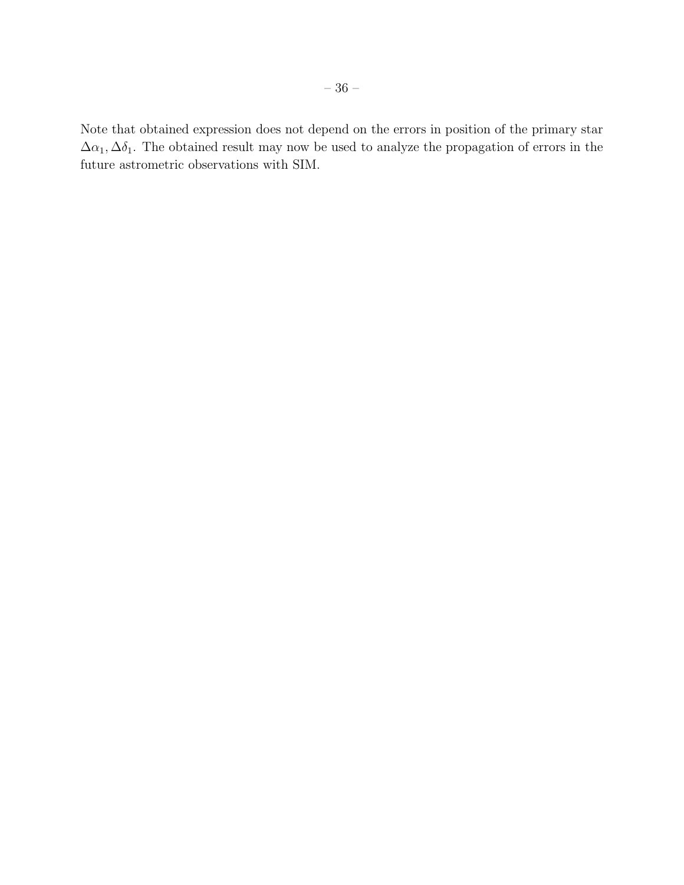Note that obtained expression does not depend on the errors in position of the primary star  $\Delta\alpha_1, \Delta\delta_1$ . The obtained result may now be used to analyze the propagation of errors in the future astrometric observations with SIM.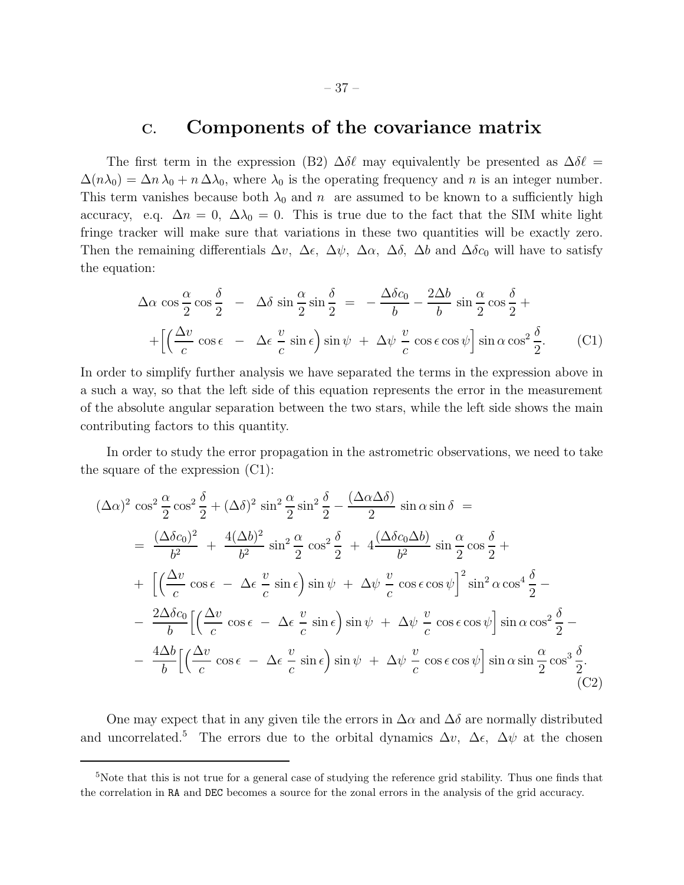## C. Components of the covariance matrix

The first term in the expression (B2)  $\Delta \delta \ell$  may equivalently be presented as  $\Delta \delta \ell =$  $\Delta(n\lambda_0) = \Delta n \lambda_0 + n \Delta \lambda_0$ , where  $\lambda_0$  is the operating frequency and n is an integer number. This term vanishes because both  $\lambda_0$  and n are assumed to be known to a sufficiently high accuracy, e.q.  $\Delta n = 0$ ,  $\Delta \lambda_0 = 0$ . This is true due to the fact that the SIM white light fringe tracker will make sure that variations in these two quantities will be exactly zero. Then the remaining differentials  $\Delta v$ ,  $\Delta \epsilon$ ,  $\Delta \psi$ ,  $\Delta \alpha$ ,  $\Delta \delta$ ,  $\Delta b$  and  $\Delta \delta c_0$  will have to satisfy the equation:

$$
\Delta \alpha \cos \frac{\alpha}{2} \cos \frac{\delta}{2} - \Delta \delta \sin \frac{\alpha}{2} \sin \frac{\delta}{2} = -\frac{\Delta \delta c_0}{b} - \frac{2\Delta b}{b} \sin \frac{\alpha}{2} \cos \frac{\delta}{2} + + \left[ \left( \frac{\Delta v}{c} \cos \epsilon - \Delta \epsilon \frac{v}{c} \sin \epsilon \right) \sin \psi + \Delta \psi \frac{v}{c} \cos \epsilon \cos \psi \right] \sin \alpha \cos^2 \frac{\delta}{2}.
$$
 (C1)

In order to simplify further analysis we have separated the terms in the expression above in a such a way, so that the left side of this equation represents the error in the measurement of the absolute angular separation between the two stars, while the left side shows the main contributing factors to this quantity.

In order to study the error propagation in the astrometric observations, we need to take the square of the expression (C1):

$$
(\Delta \alpha)^2 \cos^2 \frac{\alpha}{2} \cos^2 \frac{\delta}{2} + (\Delta \delta)^2 \sin^2 \frac{\alpha}{2} \sin^2 \frac{\delta}{2} - \frac{(\Delta \alpha \Delta \delta)}{2} \sin \alpha \sin \delta =
$$
  
\n
$$
= \frac{(\Delta \delta c_0)^2}{b^2} + \frac{4(\Delta b)^2}{b^2} \sin^2 \frac{\alpha}{2} \cos^2 \frac{\delta}{2} + 4 \frac{(\Delta \delta c_0 \Delta b)}{b^2} \sin \frac{\alpha}{2} \cos \frac{\delta}{2} +
$$
  
\n
$$
+ \left[ \left( \frac{\Delta v}{c} \cos \epsilon - \Delta \epsilon \frac{v}{c} \sin \epsilon \right) \sin \psi + \Delta \psi \frac{v}{c} \cos \epsilon \cos \psi \right]^2 \sin^2 \alpha \cos^4 \frac{\delta}{2} -
$$
  
\n
$$
- \frac{2\Delta \delta c_0}{b} \left[ \left( \frac{\Delta v}{c} \cos \epsilon - \Delta \epsilon \frac{v}{c} \sin \epsilon \right) \sin \psi + \Delta \psi \frac{v}{c} \cos \epsilon \cos \psi \right] \sin \alpha \cos^2 \frac{\delta}{2} -
$$
  
\n
$$
- \frac{4\Delta b}{b} \left[ \left( \frac{\Delta v}{c} \cos \epsilon - \Delta \epsilon \frac{v}{c} \sin \epsilon \right) \sin \psi + \Delta \psi \frac{v}{c} \cos \epsilon \cos \psi \right] \sin \alpha \sin \frac{\alpha}{2} \cos^3 \frac{\delta}{2}.
$$
  
\n(C2)

One may expect that in any given tile the errors in  $\Delta \alpha$  and  $\Delta \delta$  are normally distributed and uncorrelated.<sup>5</sup> The errors due to the orbital dynamics  $\Delta v$ ,  $\Delta \epsilon$ ,  $\Delta \psi$  at the chosen

<sup>&</sup>lt;sup>5</sup>Note that this is not true for a general case of studying the reference grid stability. Thus one finds that the correlation in RA and DEC becomes a source for the zonal errors in the analysis of the grid accuracy.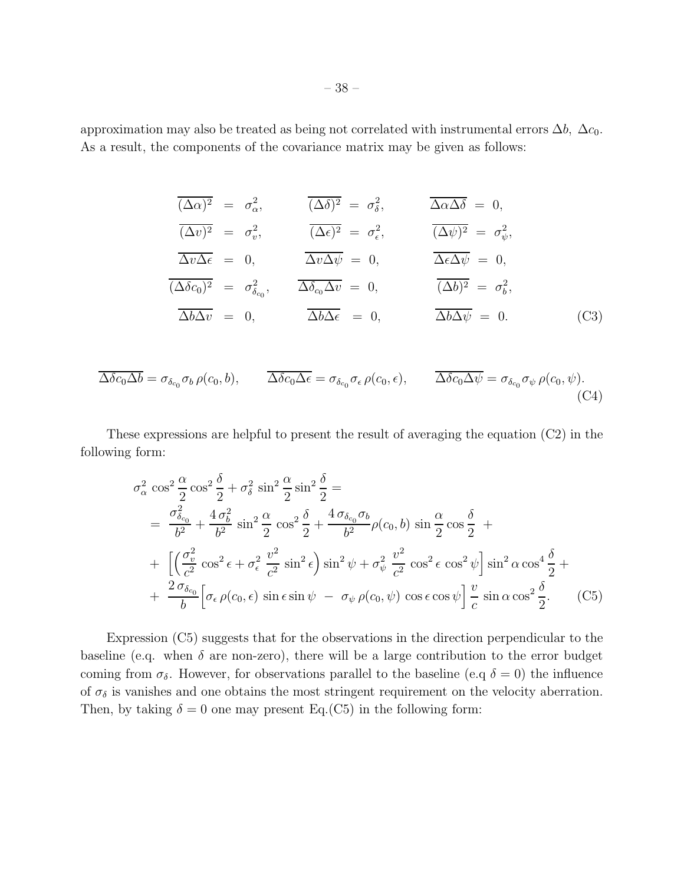approximation may also be treated as being not correlated with instrumental errors  $\Delta b$ ,  $\Delta c_0$ . As a result, the components of the covariance matrix may be given as follows:

$$
\overline{(\Delta \alpha)^2} = \sigma_{\alpha}^2, \qquad \overline{(\Delta \delta)^2} = \sigma_{\delta}^2, \qquad \overline{\Delta \alpha \Delta \delta} = 0,
$$
\n
$$
\overline{(\Delta v)^2} = \sigma_v^2, \qquad \overline{(\Delta \epsilon)^2} = \sigma_{\epsilon}^2, \qquad \overline{(\Delta \psi)^2} = \sigma_{\psi}^2,
$$
\n
$$
\overline{\Delta v \Delta \epsilon} = 0, \qquad \overline{\Delta v \Delta \psi} = 0, \qquad \overline{\Delta \epsilon \Delta \psi} = 0,
$$
\n
$$
\overline{(\Delta \delta c_0)^2} = \sigma_{\delta_{c_0}}^2, \qquad \overline{\Delta \delta_{c_0} \Delta v} = 0, \qquad \overline{(\Delta b)^2} = \sigma_{b}^2,
$$
\n
$$
\overline{\Delta b \Delta v} = 0, \qquad \overline{\Delta b \Delta \epsilon} = 0, \qquad \overline{\Delta b \Delta \psi} = 0.
$$
\n(C3)

$$
\overline{\Delta \delta c_0 \Delta b} = \sigma_{\delta_{c_0}} \sigma_b \,\rho(c_0, b), \qquad \overline{\Delta \delta c_0 \Delta \epsilon} = \sigma_{\delta_{c_0}} \sigma_{\epsilon} \,\rho(c_0, \epsilon), \qquad \overline{\Delta \delta c_0 \Delta \psi} = \sigma_{\delta_{c_0}} \sigma_{\psi} \,\rho(c_0, \psi).
$$
\n(C4)

These expressions are helpful to present the result of averaging the equation (C2) in the following form:

$$
\sigma_{\alpha}^{2} \cos^{2} \frac{\alpha}{2} \cos^{2} \frac{\delta}{2} + \sigma_{\delta}^{2} \sin^{2} \frac{\alpha}{2} \sin^{2} \frac{\delta}{2} =
$$
\n
$$
= \frac{\sigma_{\delta_{c_{0}}}^{2}}{b^{2}} + \frac{4 \sigma_{b}^{2}}{b^{2}} \sin^{2} \frac{\alpha}{2} \cos^{2} \frac{\delta}{2} + \frac{4 \sigma_{\delta_{c_{0}}} \sigma_{b}}{b^{2}} \rho(c_{0}, b) \sin \frac{\alpha}{2} \cos \frac{\delta}{2} +
$$
\n
$$
+ \left[ \left( \frac{\sigma_{v}^{2}}{c^{2}} \cos^{2} \epsilon + \sigma_{\epsilon}^{2} \frac{v^{2}}{c^{2}} \sin^{2} \epsilon \right) \sin^{2} \psi + \sigma_{\psi}^{2} \frac{v^{2}}{c^{2}} \cos^{2} \epsilon \cos^{2} \psi \right] \sin^{2} \alpha \cos^{4} \frac{\delta}{2} +
$$
\n
$$
+ \frac{2 \sigma_{\delta_{c_{0}}} \left[ \sigma_{\epsilon} \rho(c_{0}, \epsilon) \sin \epsilon \sin \psi - \sigma_{\psi} \rho(c_{0}, \psi) \cos \epsilon \cos \psi \right] \frac{v}{c} \sin \alpha \cos^{2} \frac{\delta}{2}.
$$
\n(C5)

Expression (C5) suggests that for the observations in the direction perpendicular to the baseline (e.q. when  $\delta$  are non-zero), there will be a large contribution to the error budget coming from  $\sigma_{\delta}$ . However, for observations parallel to the baseline (e.q  $\delta = 0$ ) the influence of  $\sigma_{\delta}$  is vanishes and one obtains the most stringent requirement on the velocity aberration. Then, by taking  $\delta = 0$  one may present Eq.(C5) in the following form: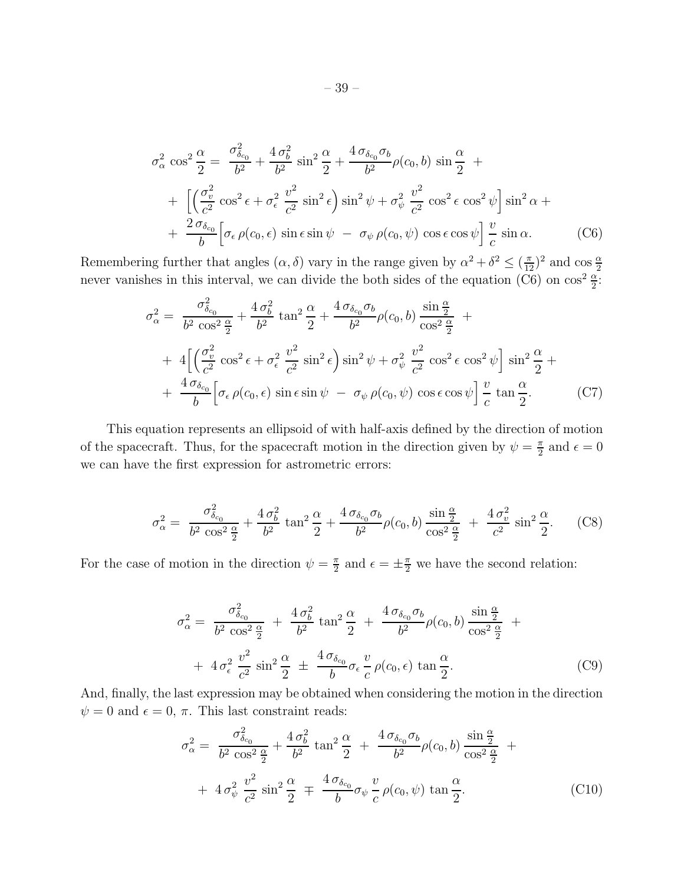$$
\sigma_{\alpha}^{2} \cos^{2} \frac{\alpha}{2} = \frac{\sigma_{\delta_{c_{0}}}^{2}}{b^{2}} + \frac{4 \sigma_{b}^{2}}{b^{2}} \sin^{2} \frac{\alpha}{2} + \frac{4 \sigma_{\delta_{c_{0}}} \sigma_{b}}{b^{2}} \rho(c_{0}, b) \sin \frac{\alpha}{2} +
$$
  
+ 
$$
\left[ \left( \frac{\sigma_{v}^{2}}{c^{2}} \cos^{2} \epsilon + \sigma_{\epsilon}^{2} \frac{v^{2}}{c^{2}} \sin^{2} \epsilon \right) \sin^{2} \psi + \sigma_{\psi}^{2} \frac{v^{2}}{c^{2}} \cos^{2} \epsilon \cos^{2} \psi \right] \sin^{2} \alpha +
$$
  
+ 
$$
\frac{2 \sigma_{\delta_{c_{0}}}}{b} \left[ \sigma_{\epsilon} \rho(c_{0}, \epsilon) \sin \epsilon \sin \psi - \sigma_{\psi} \rho(c_{0}, \psi) \cos \epsilon \cos \psi \right] \frac{v}{c} \sin \alpha.
$$
 (C6)

Remembering further that angles  $(\alpha, \delta)$  vary in the range given by  $\alpha^2 + \delta^2 \leq (\frac{\pi}{12})^2$  and  $\cos \frac{\alpha}{2}$  never vanishes in this interval, we can divide the both sides of the equation (C6) on  $\cos^2 \frac{\alpha}{2}$ :

$$
\sigma_{\alpha}^{2} = \frac{\sigma_{\delta_{c_0}}^{2}}{b^2 \cos^2 \frac{\alpha}{2}} + \frac{4 \sigma_b^2}{b^2} \tan^2 \frac{\alpha}{2} + \frac{4 \sigma_{\delta_{c_0}} \sigma_b}{b^2} \rho(c_0, b) \frac{\sin \frac{\alpha}{2}}{\cos^2 \frac{\alpha}{2}} +
$$
  
+ 
$$
4 \left[ \left( \frac{\sigma_v^2}{c^2} \cos^2 \epsilon + \sigma_{\epsilon}^2 \frac{v^2}{c^2} \sin^2 \epsilon \right) \sin^2 \psi + \sigma_{\psi}^2 \frac{v^2}{c^2} \cos^2 \epsilon \cos^2 \psi \right] \sin^2 \frac{\alpha}{2} +
$$
  
+ 
$$
\frac{4 \sigma_{\delta_{c_0}}}{b} \left[ \sigma_{\epsilon} \rho(c_0, \epsilon) \sin \epsilon \sin \psi - \sigma_{\psi} \rho(c_0, \psi) \cos \epsilon \cos \psi \right] \frac{v}{c} \tan \frac{\alpha}{2}.
$$
 (C7)

This equation represents an ellipsoid of with half-axis defined by the direction of motion of the spacecraft. Thus, for the spacecraft motion in the direction given by  $\psi = \frac{\pi}{2}$  $\frac{\pi}{2}$  and  $\epsilon = 0$ we can have the first expression for astrometric errors:

$$
\sigma_{\alpha}^{2} = \frac{\sigma_{\delta_{c_0}}^{2}}{b^2 \cos^2 \frac{\alpha}{2}} + \frac{4 \sigma_b^2}{b^2} \tan^2 \frac{\alpha}{2} + \frac{4 \sigma_{\delta_{c_0}} \sigma_b}{b^2} \rho(c_0, b) \frac{\sin \frac{\alpha}{2}}{\cos^2 \frac{\alpha}{2}} + \frac{4 \sigma_v^2}{c^2} \sin^2 \frac{\alpha}{2}.
$$
 (C8)

For the case of motion in the direction  $\psi = \frac{\pi}{2}$  $\frac{\pi}{2}$  and  $\epsilon = \pm \frac{\pi}{2}$  we have the second relation:

$$
\sigma_{\alpha}^{2} = \frac{\sigma_{\delta_{c_0}}^{2}}{b^2 \cos^2 \frac{\alpha}{2}} + \frac{4 \sigma_b^2}{b^2} \tan^2 \frac{\alpha}{2} + \frac{4 \sigma_{\delta_{c_0}} \sigma_b}{b^2} \rho(c_0, b) \frac{\sin \frac{\alpha}{2}}{\cos^2 \frac{\alpha}{2}} +
$$
  
+ 
$$
4 \sigma_{\epsilon}^{2} \frac{v^2}{c^2} \sin^2 \frac{\alpha}{2} \pm \frac{4 \sigma_{\delta_{c_0}}}{b} \sigma_{\epsilon} \frac{v}{c} \rho(c_0, \epsilon) \tan \frac{\alpha}{2}.
$$
 (C9)

And, finally, the last expression may be obtained when considering the motion in the direction  $\psi = 0$  and  $\epsilon = 0, \pi$ . This last constraint reads:

$$
\sigma_{\alpha}^{2} = \frac{\sigma_{\delta_{c_0}}^{2}}{b^2 \cos^2 \frac{\alpha}{2}} + \frac{4 \sigma_b^2}{b^2} \tan^2 \frac{\alpha}{2} + \frac{4 \sigma_{\delta_{c_0}} \sigma_b}{b^2} \rho(c_0, b) \frac{\sin \frac{\alpha}{2}}{\cos^2 \frac{\alpha}{2}} +
$$
  
+ 
$$
4 \sigma_{\psi}^{2} \frac{v^2}{c^2} \sin^2 \frac{\alpha}{2} \mp \frac{4 \sigma_{\delta_{c_0}}}{b} \sigma_{\psi} \frac{v}{c} \rho(c_0, \psi) \tan \frac{\alpha}{2}.
$$
 (C10)